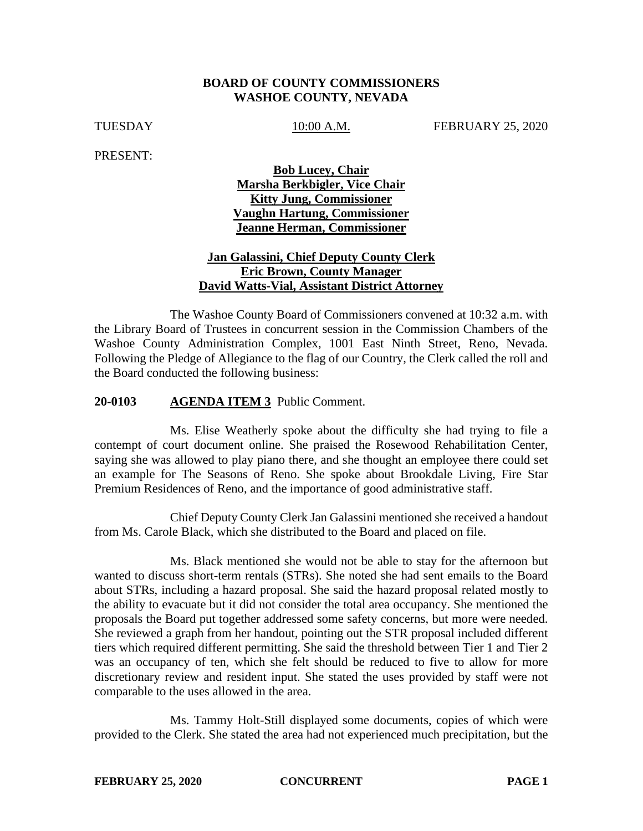### **BOARD OF COUNTY COMMISSIONERS WASHOE COUNTY, NEVADA**

TUESDAY 10:00 A.M. FEBRUARY 25, 2020

PRESENT:

**Bob Lucey, Chair Marsha Berkbigler, Vice Chair Kitty Jung, Commissioner Vaughn Hartung, Commissioner Jeanne Herman, Commissioner** 

### **Jan Galassini, Chief Deputy County Clerk Eric Brown, County Manager David Watts-Vial, Assistant District Attorney**

The Washoe County Board of Commissioners convened at 10:32 a.m. with the Library Board of Trustees in concurrent session in the Commission Chambers of the Washoe County Administration Complex, 1001 East Ninth Street, Reno, Nevada. Following the Pledge of Allegiance to the flag of our Country, the Clerk called the roll and the Board conducted the following business:

#### **20-0103 AGENDA ITEM 3** Public Comment.

Ms. Elise Weatherly spoke about the difficulty she had trying to file a contempt of court document online. She praised the Rosewood Rehabilitation Center, saying she was allowed to play piano there, and she thought an employee there could set an example for The Seasons of Reno. She spoke about Brookdale Living, Fire Star Premium Residences of Reno, and the importance of good administrative staff.

Chief Deputy County Clerk Jan Galassini mentioned she received a handout from Ms. Carole Black, which she distributed to the Board and placed on file.

Ms. Black mentioned she would not be able to stay for the afternoon but wanted to discuss short-term rentals (STRs). She noted she had sent emails to the Board about STRs, including a hazard proposal. She said the hazard proposal related mostly to the ability to evacuate but it did not consider the total area occupancy. She mentioned the proposals the Board put together addressed some safety concerns, but more were needed. She reviewed a graph from her handout, pointing out the STR proposal included different tiers which required different permitting. She said the threshold between Tier 1 and Tier 2 was an occupancy of ten, which she felt should be reduced to five to allow for more discretionary review and resident input. She stated the uses provided by staff were not comparable to the uses allowed in the area.

Ms. Tammy Holt-Still displayed some documents, copies of which were provided to the Clerk. She stated the area had not experienced much precipitation, but the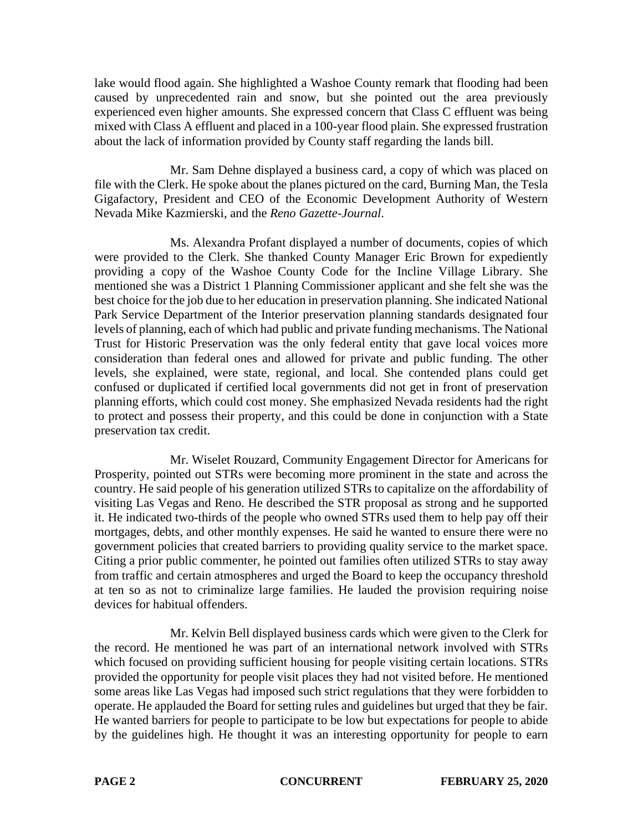lake would flood again. She highlighted a Washoe County remark that flooding had been caused by unprecedented rain and snow, but she pointed out the area previously experienced even higher amounts. She expressed concern that Class C effluent was being mixed with Class A effluent and placed in a 100-year flood plain. She expressed frustration about the lack of information provided by County staff regarding the lands bill.

Mr. Sam Dehne displayed a business card, a copy of which was placed on file with the Clerk. He spoke about the planes pictured on the card, Burning Man, the Tesla Gigafactory, President and CEO of the Economic Development Authority of Western Nevada Mike Kazmierski, and the *Reno Gazette-Journal*.

Ms. Alexandra Profant displayed a number of documents, copies of which were provided to the Clerk. She thanked County Manager Eric Brown for expediently providing a copy of the Washoe County Code for the Incline Village Library. She mentioned she was a District 1 Planning Commissioner applicant and she felt she was the best choice for the job due to her education in preservation planning. She indicated National Park Service Department of the Interior preservation planning standards designated four levels of planning, each of which had public and private funding mechanisms. The National Trust for Historic Preservation was the only federal entity that gave local voices more consideration than federal ones and allowed for private and public funding. The other levels, she explained, were state, regional, and local. She contended plans could get confused or duplicated if certified local governments did not get in front of preservation planning efforts, which could cost money. She emphasized Nevada residents had the right to protect and possess their property, and this could be done in conjunction with a State preservation tax credit.

Mr. Wiselet Rouzard, Community Engagement Director for Americans for Prosperity, pointed out STRs were becoming more prominent in the state and across the country. He said people of his generation utilized STRs to capitalize on the affordability of visiting Las Vegas and Reno. He described the STR proposal as strong and he supported it. He indicated two-thirds of the people who owned STRs used them to help pay off their mortgages, debts, and other monthly expenses. He said he wanted to ensure there were no government policies that created barriers to providing quality service to the market space. Citing a prior public commenter, he pointed out families often utilized STRs to stay away from traffic and certain atmospheres and urged the Board to keep the occupancy threshold at ten so as not to criminalize large families. He lauded the provision requiring noise devices for habitual offenders.

Mr. Kelvin Bell displayed business cards which were given to the Clerk for the record. He mentioned he was part of an international network involved with STRs which focused on providing sufficient housing for people visiting certain locations. STRs provided the opportunity for people visit places they had not visited before. He mentioned some areas like Las Vegas had imposed such strict regulations that they were forbidden to operate. He applauded the Board for setting rules and guidelines but urged that they be fair. He wanted barriers for people to participate to be low but expectations for people to abide by the guidelines high. He thought it was an interesting opportunity for people to earn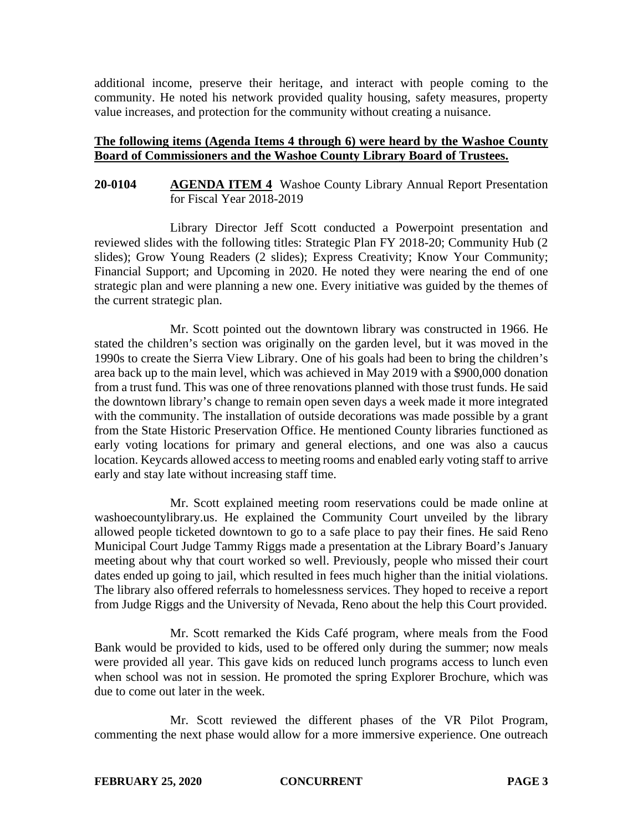additional income, preserve their heritage, and interact with people coming to the community. He noted his network provided quality housing, safety measures, property value increases, and protection for the community without creating a nuisance.

## **The following items (Agenda Items 4 through 6) were heard by the Washoe County Board of Commissioners and the Washoe County Library Board of Trustees.**

### **20-0104 AGENDA ITEM 4** Washoe County Library Annual Report Presentation for Fiscal Year 2018-2019

Library Director Jeff Scott conducted a Powerpoint presentation and reviewed slides with the following titles: Strategic Plan FY 2018-20; Community Hub (2 slides); Grow Young Readers (2 slides); Express Creativity; Know Your Community; Financial Support; and Upcoming in 2020. He noted they were nearing the end of one strategic plan and were planning a new one. Every initiative was guided by the themes of the current strategic plan.

Mr. Scott pointed out the downtown library was constructed in 1966. He stated the children's section was originally on the garden level, but it was moved in the 1990s to create the Sierra View Library. One of his goals had been to bring the children's area back up to the main level, which was achieved in May 2019 with a \$900,000 donation from a trust fund. This was one of three renovations planned with those trust funds. He said the downtown library's change to remain open seven days a week made it more integrated with the community. The installation of outside decorations was made possible by a grant from the State Historic Preservation Office. He mentioned County libraries functioned as early voting locations for primary and general elections, and one was also a caucus location. Keycards allowed access to meeting rooms and enabled early voting staff to arrive early and stay late without increasing staff time.

Mr. Scott explained meeting room reservations could be made online at washoecountylibrary.us. He explained the Community Court unveiled by the library allowed people ticketed downtown to go to a safe place to pay their fines. He said Reno Municipal Court Judge Tammy Riggs made a presentation at the Library Board's January meeting about why that court worked so well. Previously, people who missed their court dates ended up going to jail, which resulted in fees much higher than the initial violations. The library also offered referrals to homelessness services. They hoped to receive a report from Judge Riggs and the University of Nevada, Reno about the help this Court provided.

Mr. Scott remarked the Kids Café program, where meals from the Food Bank would be provided to kids, used to be offered only during the summer; now meals were provided all year. This gave kids on reduced lunch programs access to lunch even when school was not in session. He promoted the spring Explorer Brochure, which was due to come out later in the week.

Mr. Scott reviewed the different phases of the VR Pilot Program, commenting the next phase would allow for a more immersive experience. One outreach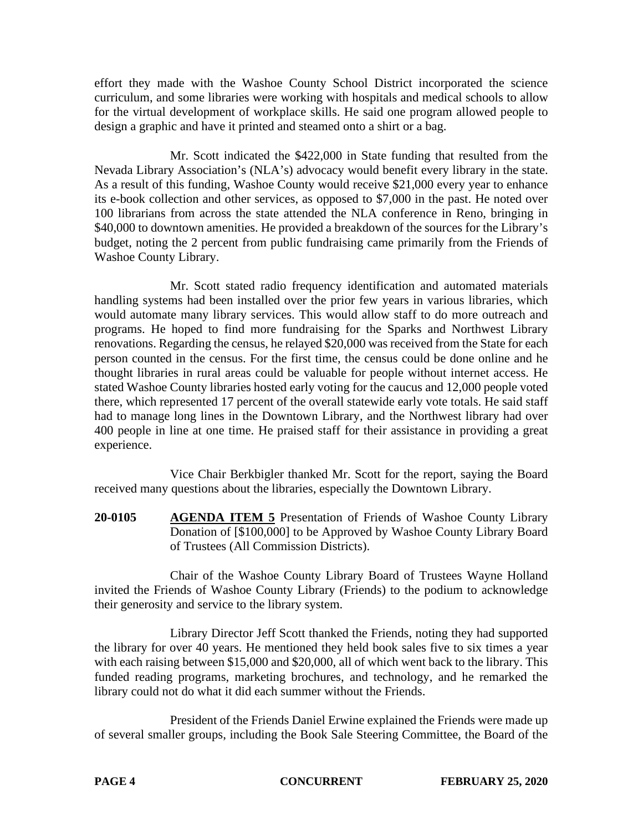effort they made with the Washoe County School District incorporated the science curriculum, and some libraries were working with hospitals and medical schools to allow for the virtual development of workplace skills. He said one program allowed people to design a graphic and have it printed and steamed onto a shirt or a bag.

Mr. Scott indicated the \$422,000 in State funding that resulted from the Nevada Library Association's (NLA's) advocacy would benefit every library in the state. As a result of this funding, Washoe County would receive \$21,000 every year to enhance its e-book collection and other services, as opposed to \$7,000 in the past. He noted over 100 librarians from across the state attended the NLA conference in Reno, bringing in \$40,000 to downtown amenities. He provided a breakdown of the sources for the Library's budget, noting the 2 percent from public fundraising came primarily from the Friends of Washoe County Library.

Mr. Scott stated radio frequency identification and automated materials handling systems had been installed over the prior few years in various libraries, which would automate many library services. This would allow staff to do more outreach and programs. He hoped to find more fundraising for the Sparks and Northwest Library renovations. Regarding the census, he relayed \$20,000 was received from the State for each person counted in the census. For the first time, the census could be done online and he thought libraries in rural areas could be valuable for people without internet access. He stated Washoe County libraries hosted early voting for the caucus and 12,000 people voted there, which represented 17 percent of the overall statewide early vote totals. He said staff had to manage long lines in the Downtown Library, and the Northwest library had over 400 people in line at one time. He praised staff for their assistance in providing a great experience.

Vice Chair Berkbigler thanked Mr. Scott for the report, saying the Board received many questions about the libraries, especially the Downtown Library.

**20-0105 AGENDA ITEM 5** Presentation of Friends of Washoe County Library Donation of [\$100,000] to be Approved by Washoe County Library Board of Trustees (All Commission Districts).

Chair of the Washoe County Library Board of Trustees Wayne Holland invited the Friends of Washoe County Library (Friends) to the podium to acknowledge their generosity and service to the library system.

Library Director Jeff Scott thanked the Friends, noting they had supported the library for over 40 years. He mentioned they held book sales five to six times a year with each raising between \$15,000 and \$20,000, all of which went back to the library. This funded reading programs, marketing brochures, and technology, and he remarked the library could not do what it did each summer without the Friends.

President of the Friends Daniel Erwine explained the Friends were made up of several smaller groups, including the Book Sale Steering Committee, the Board of the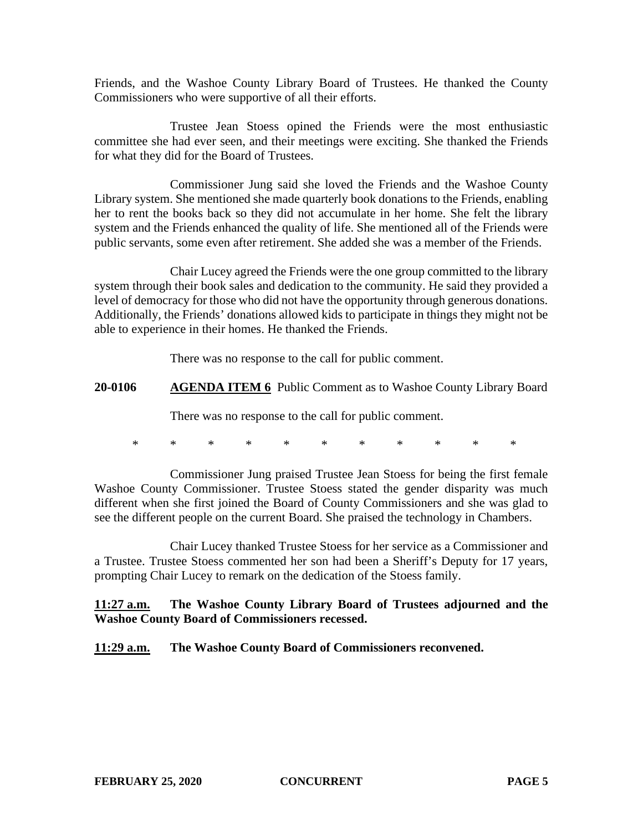Friends, and the Washoe County Library Board of Trustees. He thanked the County Commissioners who were supportive of all their efforts.

Trustee Jean Stoess opined the Friends were the most enthusiastic committee she had ever seen, and their meetings were exciting. She thanked the Friends for what they did for the Board of Trustees.

Commissioner Jung said she loved the Friends and the Washoe County Library system. She mentioned she made quarterly book donations to the Friends, enabling her to rent the books back so they did not accumulate in her home. She felt the library system and the Friends enhanced the quality of life. She mentioned all of the Friends were public servants, some even after retirement. She added she was a member of the Friends.

Chair Lucey agreed the Friends were the one group committed to the library system through their book sales and dedication to the community. He said they provided a level of democracy for those who did not have the opportunity through generous donations. Additionally, the Friends' donations allowed kids to participate in things they might not be able to experience in their homes. He thanked the Friends.

There was no response to the call for public comment.

**20-0106 AGENDA ITEM 6** Public Comment as to Washoe County Library Board

There was no response to the call for public comment.

\* \* \* \* \* \* \* \* \* \* \*

Commissioner Jung praised Trustee Jean Stoess for being the first female Washoe County Commissioner. Trustee Stoess stated the gender disparity was much different when she first joined the Board of County Commissioners and she was glad to see the different people on the current Board. She praised the technology in Chambers.

Chair Lucey thanked Trustee Stoess for her service as a Commissioner and a Trustee. Trustee Stoess commented her son had been a Sheriff's Deputy for 17 years, prompting Chair Lucey to remark on the dedication of the Stoess family.

**11:27 a.m. The Washoe County Library Board of Trustees adjourned and the Washoe County Board of Commissioners recessed.**

**11:29 a.m. The Washoe County Board of Commissioners reconvened.**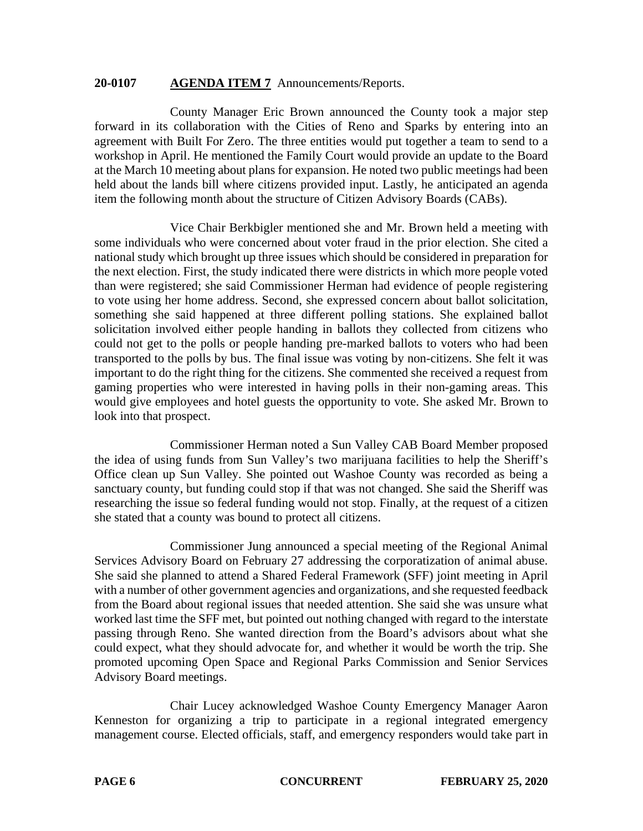#### **20-0107 AGENDA ITEM 7** Announcements/Reports.

County Manager Eric Brown announced the County took a major step forward in its collaboration with the Cities of Reno and Sparks by entering into an agreement with Built For Zero. The three entities would put together a team to send to a workshop in April. He mentioned the Family Court would provide an update to the Board at the March 10 meeting about plans for expansion. He noted two public meetings had been held about the lands bill where citizens provided input. Lastly, he anticipated an agenda item the following month about the structure of Citizen Advisory Boards (CABs).

Vice Chair Berkbigler mentioned she and Mr. Brown held a meeting with some individuals who were concerned about voter fraud in the prior election. She cited a national study which brought up three issues which should be considered in preparation for the next election. First, the study indicated there were districts in which more people voted than were registered; she said Commissioner Herman had evidence of people registering to vote using her home address. Second, she expressed concern about ballot solicitation, something she said happened at three different polling stations. She explained ballot solicitation involved either people handing in ballots they collected from citizens who could not get to the polls or people handing pre-marked ballots to voters who had been transported to the polls by bus. The final issue was voting by non-citizens. She felt it was important to do the right thing for the citizens. She commented she received a request from gaming properties who were interested in having polls in their non-gaming areas. This would give employees and hotel guests the opportunity to vote. She asked Mr. Brown to look into that prospect.

Commissioner Herman noted a Sun Valley CAB Board Member proposed the idea of using funds from Sun Valley's two marijuana facilities to help the Sheriff's Office clean up Sun Valley. She pointed out Washoe County was recorded as being a sanctuary county, but funding could stop if that was not changed. She said the Sheriff was researching the issue so federal funding would not stop. Finally, at the request of a citizen she stated that a county was bound to protect all citizens.

Commissioner Jung announced a special meeting of the Regional Animal Services Advisory Board on February 27 addressing the corporatization of animal abuse. She said she planned to attend a Shared Federal Framework (SFF) joint meeting in April with a number of other government agencies and organizations, and she requested feedback from the Board about regional issues that needed attention. She said she was unsure what worked last time the SFF met, but pointed out nothing changed with regard to the interstate passing through Reno. She wanted direction from the Board's advisors about what she could expect, what they should advocate for, and whether it would be worth the trip. She promoted upcoming Open Space and Regional Parks Commission and Senior Services Advisory Board meetings.

Chair Lucey acknowledged Washoe County Emergency Manager Aaron Kenneston for organizing a trip to participate in a regional integrated emergency management course. Elected officials, staff, and emergency responders would take part in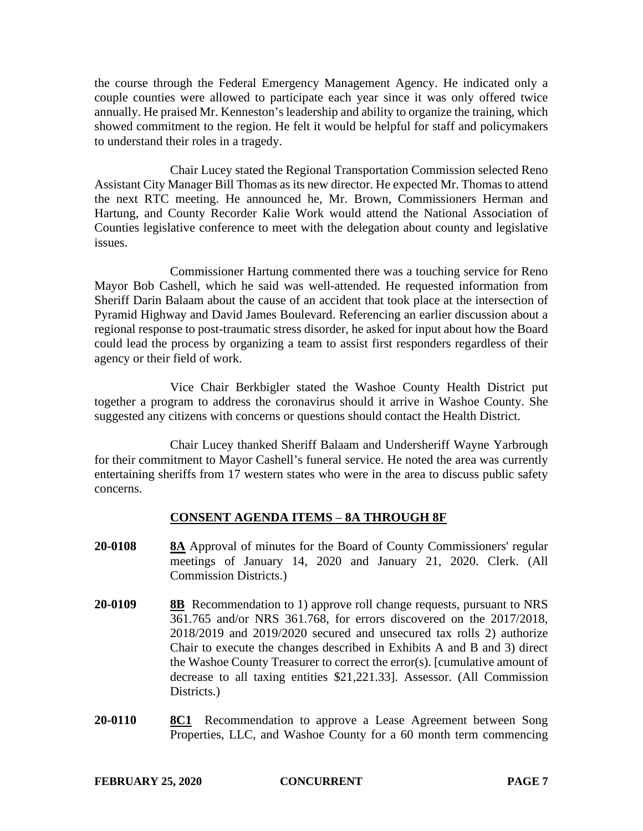the course through the Federal Emergency Management Agency. He indicated only a couple counties were allowed to participate each year since it was only offered twice annually. He praised Mr. Kenneston's leadership and ability to organize the training, which showed commitment to the region. He felt it would be helpful for staff and policymakers to understand their roles in a tragedy.

Chair Lucey stated the Regional Transportation Commission selected Reno Assistant City Manager Bill Thomas as its new director. He expected Mr. Thomas to attend the next RTC meeting. He announced he, Mr. Brown, Commissioners Herman and Hartung, and County Recorder Kalie Work would attend the National Association of Counties legislative conference to meet with the delegation about county and legislative issues.

Commissioner Hartung commented there was a touching service for Reno Mayor Bob Cashell, which he said was well-attended. He requested information from Sheriff Darin Balaam about the cause of an accident that took place at the intersection of Pyramid Highway and David James Boulevard. Referencing an earlier discussion about a regional response to post-traumatic stress disorder, he asked for input about how the Board could lead the process by organizing a team to assist first responders regardless of their agency or their field of work.

Vice Chair Berkbigler stated the Washoe County Health District put together a program to address the coronavirus should it arrive in Washoe County. She suggested any citizens with concerns or questions should contact the Health District.

Chair Lucey thanked Sheriff Balaam and Undersheriff Wayne Yarbrough for their commitment to Mayor Cashell's funeral service. He noted the area was currently entertaining sheriffs from 17 western states who were in the area to discuss public safety concerns.

# **CONSENT AGENDA ITEMS** – **8A THROUGH 8F**

- **20-0108 8A** Approval of minutes for the Board of County Commissioners' regular meetings of January 14, 2020 and January 21, 2020. Clerk. (All Commission Districts.)
- **20-0109 8B** Recommendation to 1) approve roll change requests, pursuant to NRS 361.765 and/or NRS 361.768, for errors discovered on the 2017/2018, 2018/2019 and 2019/2020 secured and unsecured tax rolls 2) authorize Chair to execute the changes described in Exhibits A and B and 3) direct the Washoe County Treasurer to correct the error(s). [cumulative amount of decrease to all taxing entities \$21,221.33]. Assessor. (All Commission Districts.)
- **20-0110 8C1** Recommendation to approve a Lease Agreement between Song Properties, LLC, and Washoe County for a 60 month term commencing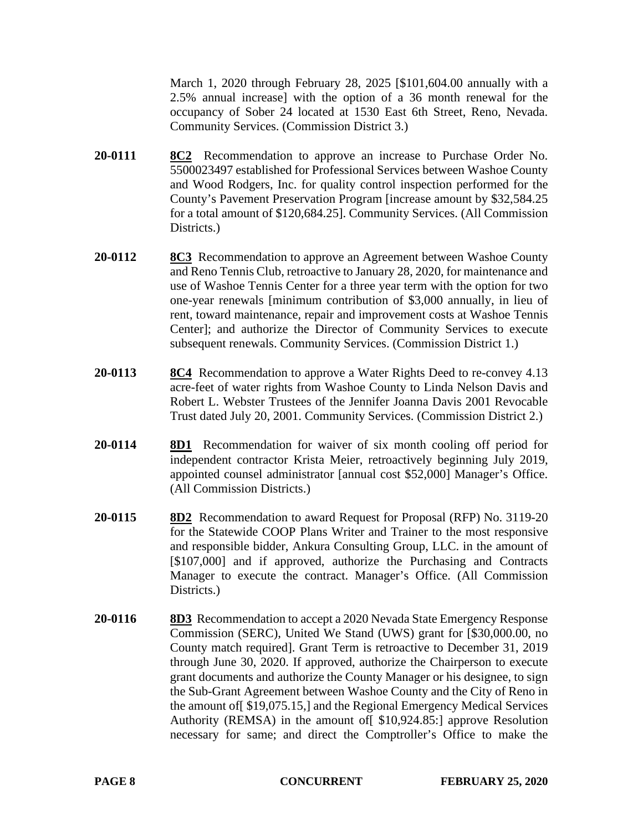March 1, 2020 through February 28, 2025 [\$101,604.00 annually with a 2.5% annual increase] with the option of a 36 month renewal for the occupancy of Sober 24 located at 1530 East 6th Street, Reno, Nevada. Community Services. (Commission District 3.)

- **20-0111 8C2** Recommendation to approve an increase to Purchase Order No. 5500023497 established for Professional Services between Washoe County and Wood Rodgers, Inc. for quality control inspection performed for the County's Pavement Preservation Program [increase amount by \$32,584.25 for a total amount of \$120,684.25]. Community Services. (All Commission Districts.)
- **20-0112 8C3** Recommendation to approve an Agreement between Washoe County and Reno Tennis Club, retroactive to January 28, 2020, for maintenance and use of Washoe Tennis Center for a three year term with the option for two one-year renewals [minimum contribution of \$3,000 annually, in lieu of rent, toward maintenance, repair and improvement costs at Washoe Tennis Center]; and authorize the Director of Community Services to execute subsequent renewals. Community Services. (Commission District 1.)
- **20-0113 8C4** Recommendation to approve a Water Rights Deed to re-convey 4.13 acre-feet of water rights from Washoe County to Linda Nelson Davis and Robert L. Webster Trustees of the Jennifer Joanna Davis 2001 Revocable Trust dated July 20, 2001. Community Services. (Commission District 2.)
- **20-0114 8D1** Recommendation for waiver of six month cooling off period for independent contractor Krista Meier, retroactively beginning July 2019, appointed counsel administrator [annual cost \$52,000] Manager's Office. (All Commission Districts.)
- **20-0115 8D2** Recommendation to award Request for Proposal (RFP) No. 3119-20 for the Statewide COOP Plans Writer and Trainer to the most responsive and responsible bidder, Ankura Consulting Group, LLC. in the amount of [\$107,000] and if approved, authorize the Purchasing and Contracts Manager to execute the contract. Manager's Office. (All Commission Districts.
- **20-0116 8D3** Recommendation to accept a 2020 Nevada State Emergency Response Commission (SERC), United We Stand (UWS) grant for [\$30,000.00, no County match required]. Grant Term is retroactive to December 31, 2019 through June 30, 2020. If approved, authorize the Chairperson to execute grant documents and authorize the County Manager or his designee, to sign the Sub-Grant Agreement between Washoe County and the City of Reno in the amount of[ \$19,075.15,] and the Regional Emergency Medical Services Authority (REMSA) in the amount of[ \$10,924.85:] approve Resolution necessary for same; and direct the Comptroller's Office to make the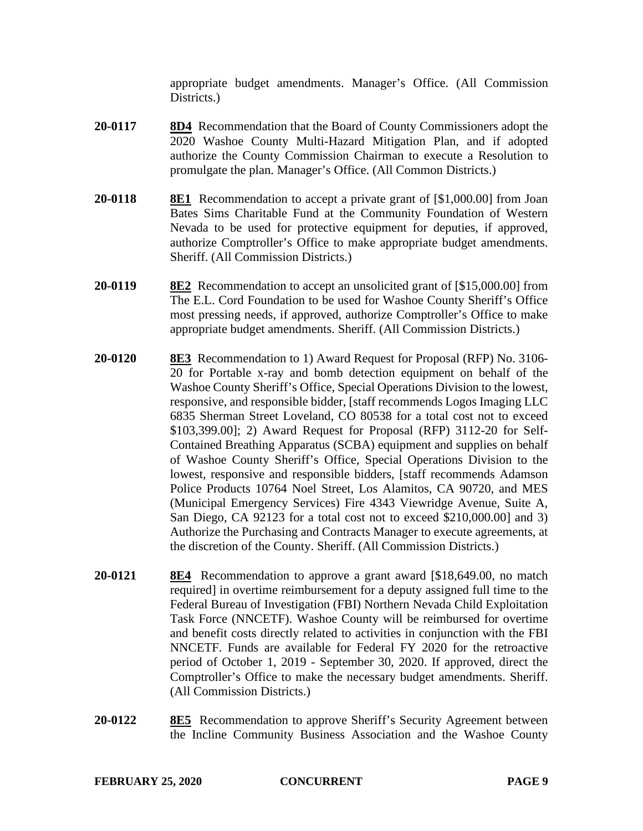appropriate budget amendments. Manager's Office. (All Commission Districts.

- **20-0117 8D4** Recommendation that the Board of County Commissioners adopt the 2020 Washoe County Multi-Hazard Mitigation Plan, and if adopted authorize the County Commission Chairman to execute a Resolution to promulgate the plan. Manager's Office. (All Common Districts.)
- **20-0118 8E1** Recommendation to accept a private grant of [\$1,000.00] from Joan Bates Sims Charitable Fund at the Community Foundation of Western Nevada to be used for protective equipment for deputies, if approved, authorize Comptroller's Office to make appropriate budget amendments. Sheriff. (All Commission Districts.)
- **20-0119 8E2** Recommendation to accept an unsolicited grant of [\$15,000.00] from The E.L. Cord Foundation to be used for Washoe County Sheriff's Office most pressing needs, if approved, authorize Comptroller's Office to make appropriate budget amendments. Sheriff. (All Commission Districts.)
- **20-0120 8E3** Recommendation to 1) Award Request for Proposal (RFP) No. 3106- 20 for Portable x-ray and bomb detection equipment on behalf of the Washoe County Sheriff's Office, Special Operations Division to the lowest, responsive, and responsible bidder, [staff recommends Logos Imaging LLC 6835 Sherman Street Loveland, CO 80538 for a total cost not to exceed \$103,399.00]; 2) Award Request for Proposal (RFP) 3112-20 for Self-Contained Breathing Apparatus (SCBA) equipment and supplies on behalf of Washoe County Sheriff's Office, Special Operations Division to the lowest, responsive and responsible bidders, [staff recommends Adamson Police Products 10764 Noel Street, Los Alamitos, CA 90720, and MES (Municipal Emergency Services) Fire 4343 Viewridge Avenue, Suite A, San Diego, CA 92123 for a total cost not to exceed \$210,000.00] and 3) Authorize the Purchasing and Contracts Manager to execute agreements, at the discretion of the County. Sheriff. (All Commission Districts.)
- **20-0121 8E4** Recommendation to approve a grant award [\$18,649.00, no match required] in overtime reimbursement for a deputy assigned full time to the Federal Bureau of Investigation (FBI) Northern Nevada Child Exploitation Task Force (NNCETF). Washoe County will be reimbursed for overtime and benefit costs directly related to activities in conjunction with the FBI NNCETF. Funds are available for Federal FY 2020 for the retroactive period of October 1, 2019 - September 30, 2020. If approved, direct the Comptroller's Office to make the necessary budget amendments. Sheriff. (All Commission Districts.)
- **20-0122 8E5** Recommendation to approve Sheriff's Security Agreement between the Incline Community Business Association and the Washoe County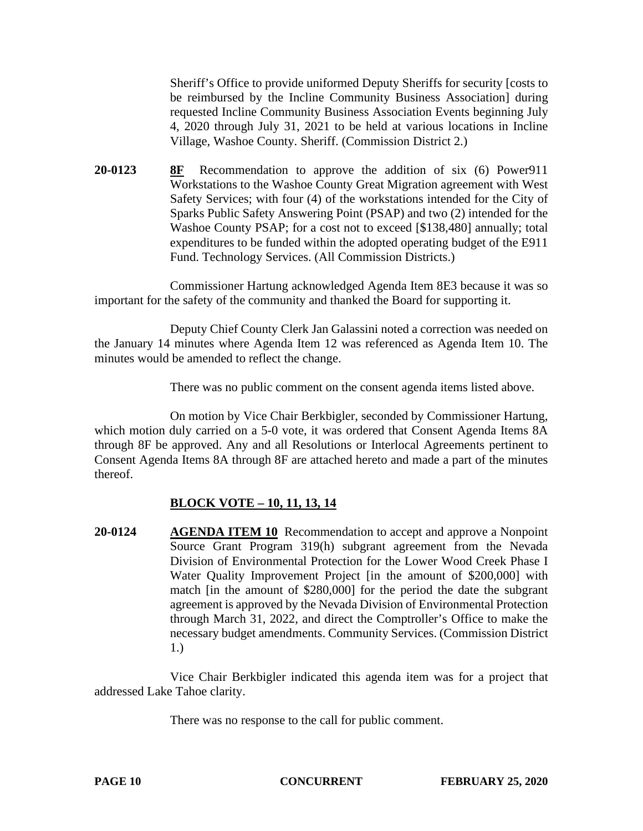Sheriff's Office to provide uniformed Deputy Sheriffs for security [costs to be reimbursed by the Incline Community Business Association] during requested Incline Community Business Association Events beginning July 4, 2020 through July 31, 2021 to be held at various locations in Incline Village, Washoe County. Sheriff. (Commission District 2.)

**20-0123 8F** Recommendation to approve the addition of six (6) Power911 Workstations to the Washoe County Great Migration agreement with West Safety Services; with four (4) of the workstations intended for the City of Sparks Public Safety Answering Point (PSAP) and two (2) intended for the Washoe County PSAP; for a cost not to exceed [\$138,480] annually; total expenditures to be funded within the adopted operating budget of the E911 Fund. Technology Services. (All Commission Districts.)

Commissioner Hartung acknowledged Agenda Item 8E3 because it was so important for the safety of the community and thanked the Board for supporting it.

Deputy Chief County Clerk Jan Galassini noted a correction was needed on the January 14 minutes where Agenda Item 12 was referenced as Agenda Item 10. The minutes would be amended to reflect the change.

There was no public comment on the consent agenda items listed above.

On motion by Vice Chair Berkbigler, seconded by Commissioner Hartung, which motion duly carried on a 5-0 vote, it was ordered that Consent Agenda Items 8A through 8F be approved. Any and all Resolutions or Interlocal Agreements pertinent to Consent Agenda Items 8A through 8F are attached hereto and made a part of the minutes thereof.

# **BLOCK VOTE – 10, 11, 13, 14**

**20-0124 AGENDA ITEM 10** Recommendation to accept and approve a Nonpoint Source Grant Program 319(h) subgrant agreement from the Nevada Division of Environmental Protection for the Lower Wood Creek Phase I Water Quality Improvement Project [in the amount of \$200,000] with match [in the amount of \$280,000] for the period the date the subgrant agreement is approved by the Nevada Division of Environmental Protection through March 31, 2022, and direct the Comptroller's Office to make the necessary budget amendments. Community Services. (Commission District 1.)

Vice Chair Berkbigler indicated this agenda item was for a project that addressed Lake Tahoe clarity.

There was no response to the call for public comment.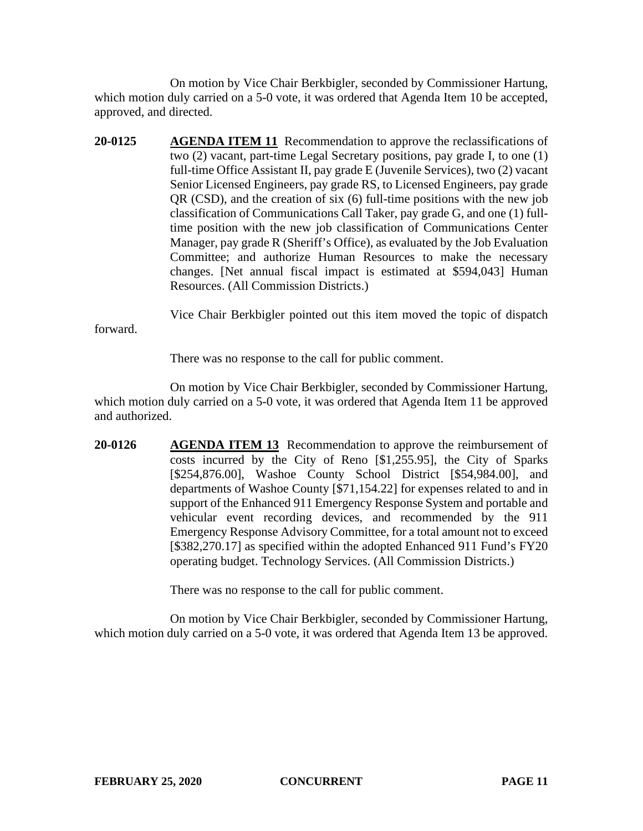On motion by Vice Chair Berkbigler, seconded by Commissioner Hartung, which motion duly carried on a 5-0 vote, it was ordered that Agenda Item 10 be accepted, approved, and directed.

**20-0125 AGENDA ITEM 11** Recommendation to approve the reclassifications of two (2) vacant, part-time Legal Secretary positions, pay grade I, to one (1) full-time Office Assistant II, pay grade E (Juvenile Services), two (2) vacant Senior Licensed Engineers, pay grade RS, to Licensed Engineers, pay grade QR (CSD), and the creation of six (6) full-time positions with the new job classification of Communications Call Taker, pay grade G, and one (1) fulltime position with the new job classification of Communications Center Manager, pay grade R (Sheriff's Office), as evaluated by the Job Evaluation Committee; and authorize Human Resources to make the necessary changes. [Net annual fiscal impact is estimated at \$594,043] Human Resources. (All Commission Districts.)

Vice Chair Berkbigler pointed out this item moved the topic of dispatch forward.

There was no response to the call for public comment.

On motion by Vice Chair Berkbigler, seconded by Commissioner Hartung, which motion duly carried on a 5-0 vote, it was ordered that Agenda Item 11 be approved and authorized.

**20-0126 AGENDA ITEM 13** Recommendation to approve the reimbursement of costs incurred by the City of Reno [\$1,255.95], the City of Sparks [\$254,876.00], Washoe County School District [\$54,984.00], and departments of Washoe County [\$71,154.22] for expenses related to and in support of the Enhanced 911 Emergency Response System and portable and vehicular event recording devices, and recommended by the 911 Emergency Response Advisory Committee, for a total amount not to exceed [\$382,270.17] as specified within the adopted Enhanced 911 Fund's FY20 operating budget. Technology Services. (All Commission Districts.)

There was no response to the call for public comment.

On motion by Vice Chair Berkbigler, seconded by Commissioner Hartung, which motion duly carried on a 5-0 vote, it was ordered that Agenda Item 13 be approved.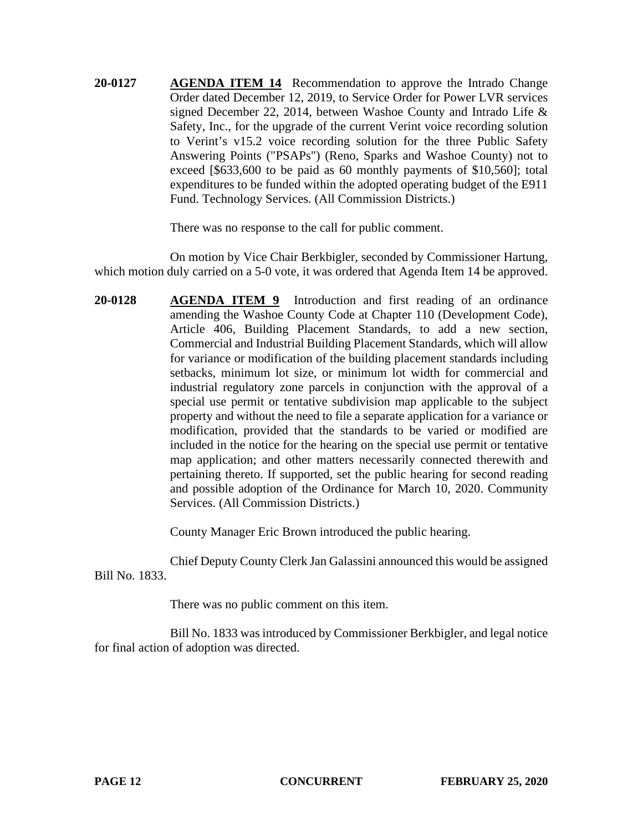**20-0127 AGENDA ITEM 14** Recommendation to approve the Intrado Change Order dated December 12, 2019, to Service Order for Power LVR services signed December 22, 2014, between Washoe County and Intrado Life & Safety, Inc., for the upgrade of the current Verint voice recording solution to Verint's v15.2 voice recording solution for the three Public Safety Answering Points ("PSAPs") (Reno, Sparks and Washoe County) not to exceed [\$633,600 to be paid as 60 monthly payments of \$10,560]; total expenditures to be funded within the adopted operating budget of the E911 Fund. Technology Services. (All Commission Districts.)

There was no response to the call for public comment.

On motion by Vice Chair Berkbigler, seconded by Commissioner Hartung, which motion duly carried on a 5-0 vote, it was ordered that Agenda Item 14 be approved.

**20-0128 AGENDA ITEM 9** Introduction and first reading of an ordinance amending the Washoe County Code at Chapter 110 (Development Code), Article 406, Building Placement Standards, to add a new section, Commercial and Industrial Building Placement Standards, which will allow for variance or modification of the building placement standards including setbacks, minimum lot size, or minimum lot width for commercial and industrial regulatory zone parcels in conjunction with the approval of a special use permit or tentative subdivision map applicable to the subject property and without the need to file a separate application for a variance or modification, provided that the standards to be varied or modified are included in the notice for the hearing on the special use permit or tentative map application; and other matters necessarily connected therewith and pertaining thereto. If supported, set the public hearing for second reading and possible adoption of the Ordinance for March 10, 2020. Community Services. (All Commission Districts.)

County Manager Eric Brown introduced the public hearing.

Chief Deputy County Clerk Jan Galassini announced this would be assigned Bill No. 1833.

There was no public comment on this item.

Bill No. 1833 was introduced by Commissioner Berkbigler, and legal notice for final action of adoption was directed.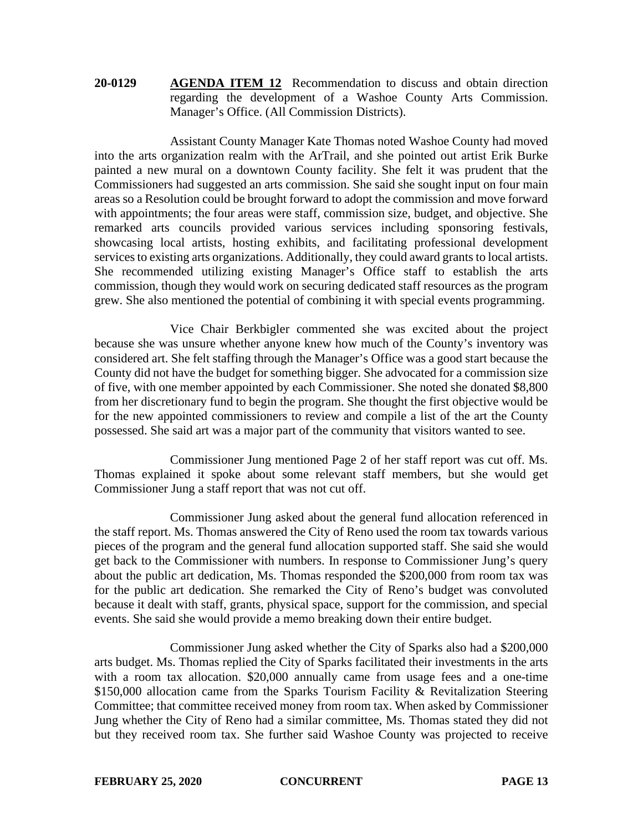## **20-0129 AGENDA ITEM 12** Recommendation to discuss and obtain direction regarding the development of a Washoe County Arts Commission. Manager's Office. (All Commission Districts).

Assistant County Manager Kate Thomas noted Washoe County had moved into the arts organization realm with the ArTrail, and she pointed out artist Erik Burke painted a new mural on a downtown County facility. She felt it was prudent that the Commissioners had suggested an arts commission. She said she sought input on four main areas so a Resolution could be brought forward to adopt the commission and move forward with appointments; the four areas were staff, commission size, budget, and objective. She remarked arts councils provided various services including sponsoring festivals, showcasing local artists, hosting exhibits, and facilitating professional development services to existing arts organizations. Additionally, they could award grants to local artists. She recommended utilizing existing Manager's Office staff to establish the arts commission, though they would work on securing dedicated staff resources as the program grew. She also mentioned the potential of combining it with special events programming.

Vice Chair Berkbigler commented she was excited about the project because she was unsure whether anyone knew how much of the County's inventory was considered art. She felt staffing through the Manager's Office was a good start because the County did not have the budget for something bigger. She advocated for a commission size of five, with one member appointed by each Commissioner. She noted she donated \$8,800 from her discretionary fund to begin the program. She thought the first objective would be for the new appointed commissioners to review and compile a list of the art the County possessed. She said art was a major part of the community that visitors wanted to see.

Commissioner Jung mentioned Page 2 of her staff report was cut off. Ms. Thomas explained it spoke about some relevant staff members, but she would get Commissioner Jung a staff report that was not cut off.

Commissioner Jung asked about the general fund allocation referenced in the staff report. Ms. Thomas answered the City of Reno used the room tax towards various pieces of the program and the general fund allocation supported staff. She said she would get back to the Commissioner with numbers. In response to Commissioner Jung's query about the public art dedication, Ms. Thomas responded the \$200,000 from room tax was for the public art dedication. She remarked the City of Reno's budget was convoluted because it dealt with staff, grants, physical space, support for the commission, and special events. She said she would provide a memo breaking down their entire budget.

Commissioner Jung asked whether the City of Sparks also had a \$200,000 arts budget. Ms. Thomas replied the City of Sparks facilitated their investments in the arts with a room tax allocation. \$20,000 annually came from usage fees and a one-time \$150,000 allocation came from the Sparks Tourism Facility & Revitalization Steering Committee; that committee received money from room tax. When asked by Commissioner Jung whether the City of Reno had a similar committee, Ms. Thomas stated they did not but they received room tax. She further said Washoe County was projected to receive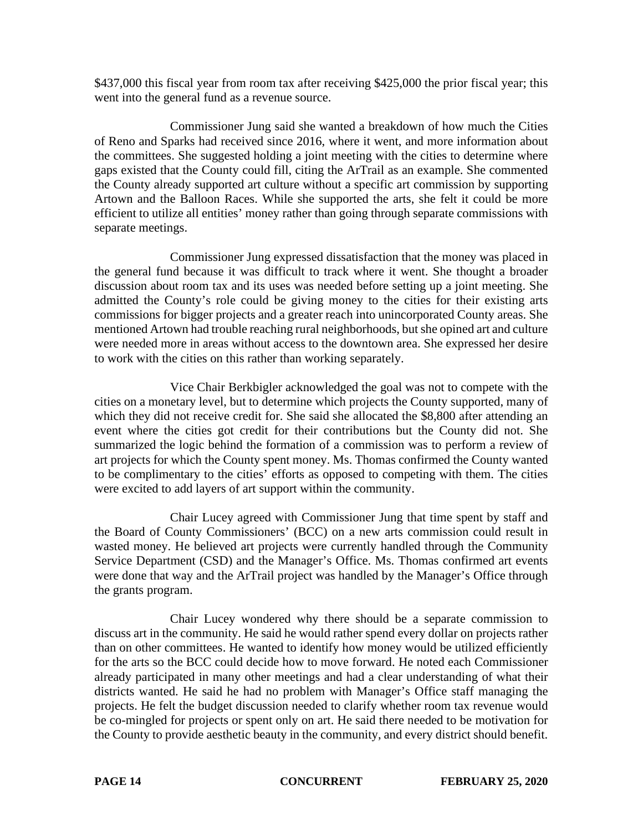\$437,000 this fiscal year from room tax after receiving \$425,000 the prior fiscal year; this went into the general fund as a revenue source.

Commissioner Jung said she wanted a breakdown of how much the Cities of Reno and Sparks had received since 2016, where it went, and more information about the committees. She suggested holding a joint meeting with the cities to determine where gaps existed that the County could fill, citing the ArTrail as an example. She commented the County already supported art culture without a specific art commission by supporting Artown and the Balloon Races. While she supported the arts, she felt it could be more efficient to utilize all entities' money rather than going through separate commissions with separate meetings.

Commissioner Jung expressed dissatisfaction that the money was placed in the general fund because it was difficult to track where it went. She thought a broader discussion about room tax and its uses was needed before setting up a joint meeting. She admitted the County's role could be giving money to the cities for their existing arts commissions for bigger projects and a greater reach into unincorporated County areas. She mentioned Artown had trouble reaching rural neighborhoods, but she opined art and culture were needed more in areas without access to the downtown area. She expressed her desire to work with the cities on this rather than working separately.

Vice Chair Berkbigler acknowledged the goal was not to compete with the cities on a monetary level, but to determine which projects the County supported, many of which they did not receive credit for. She said she allocated the \$8,800 after attending an event where the cities got credit for their contributions but the County did not. She summarized the logic behind the formation of a commission was to perform a review of art projects for which the County spent money. Ms. Thomas confirmed the County wanted to be complimentary to the cities' efforts as opposed to competing with them. The cities were excited to add layers of art support within the community.

Chair Lucey agreed with Commissioner Jung that time spent by staff and the Board of County Commissioners' (BCC) on a new arts commission could result in wasted money. He believed art projects were currently handled through the Community Service Department (CSD) and the Manager's Office. Ms. Thomas confirmed art events were done that way and the ArTrail project was handled by the Manager's Office through the grants program.

Chair Lucey wondered why there should be a separate commission to discuss art in the community. He said he would rather spend every dollar on projects rather than on other committees. He wanted to identify how money would be utilized efficiently for the arts so the BCC could decide how to move forward. He noted each Commissioner already participated in many other meetings and had a clear understanding of what their districts wanted. He said he had no problem with Manager's Office staff managing the projects. He felt the budget discussion needed to clarify whether room tax revenue would be co-mingled for projects or spent only on art. He said there needed to be motivation for the County to provide aesthetic beauty in the community, and every district should benefit.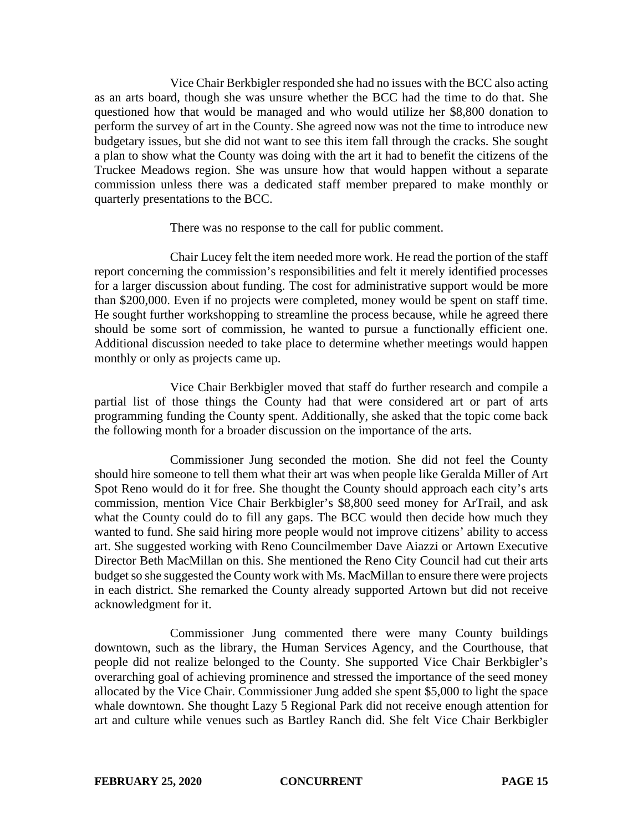Vice Chair Berkbigler responded she had no issues with the BCC also acting as an arts board, though she was unsure whether the BCC had the time to do that. She questioned how that would be managed and who would utilize her \$8,800 donation to perform the survey of art in the County. She agreed now was not the time to introduce new budgetary issues, but she did not want to see this item fall through the cracks. She sought a plan to show what the County was doing with the art it had to benefit the citizens of the Truckee Meadows region. She was unsure how that would happen without a separate commission unless there was a dedicated staff member prepared to make monthly or quarterly presentations to the BCC.

There was no response to the call for public comment.

Chair Lucey felt the item needed more work. He read the portion of the staff report concerning the commission's responsibilities and felt it merely identified processes for a larger discussion about funding. The cost for administrative support would be more than \$200,000. Even if no projects were completed, money would be spent on staff time. He sought further workshopping to streamline the process because, while he agreed there should be some sort of commission, he wanted to pursue a functionally efficient one. Additional discussion needed to take place to determine whether meetings would happen monthly or only as projects came up.

Vice Chair Berkbigler moved that staff do further research and compile a partial list of those things the County had that were considered art or part of arts programming funding the County spent. Additionally, she asked that the topic come back the following month for a broader discussion on the importance of the arts.

Commissioner Jung seconded the motion. She did not feel the County should hire someone to tell them what their art was when people like Geralda Miller of Art Spot Reno would do it for free. She thought the County should approach each city's arts commission, mention Vice Chair Berkbigler's \$8,800 seed money for ArTrail, and ask what the County could do to fill any gaps. The BCC would then decide how much they wanted to fund. She said hiring more people would not improve citizens' ability to access art. She suggested working with Reno Councilmember Dave Aiazzi or Artown Executive Director Beth MacMillan on this. She mentioned the Reno City Council had cut their arts budget so she suggested the County work with Ms. MacMillan to ensure there were projects in each district. She remarked the County already supported Artown but did not receive acknowledgment for it.

Commissioner Jung commented there were many County buildings downtown, such as the library, the Human Services Agency, and the Courthouse, that people did not realize belonged to the County. She supported Vice Chair Berkbigler's overarching goal of achieving prominence and stressed the importance of the seed money allocated by the Vice Chair. Commissioner Jung added she spent \$5,000 to light the space whale downtown. She thought Lazy 5 Regional Park did not receive enough attention for art and culture while venues such as Bartley Ranch did. She felt Vice Chair Berkbigler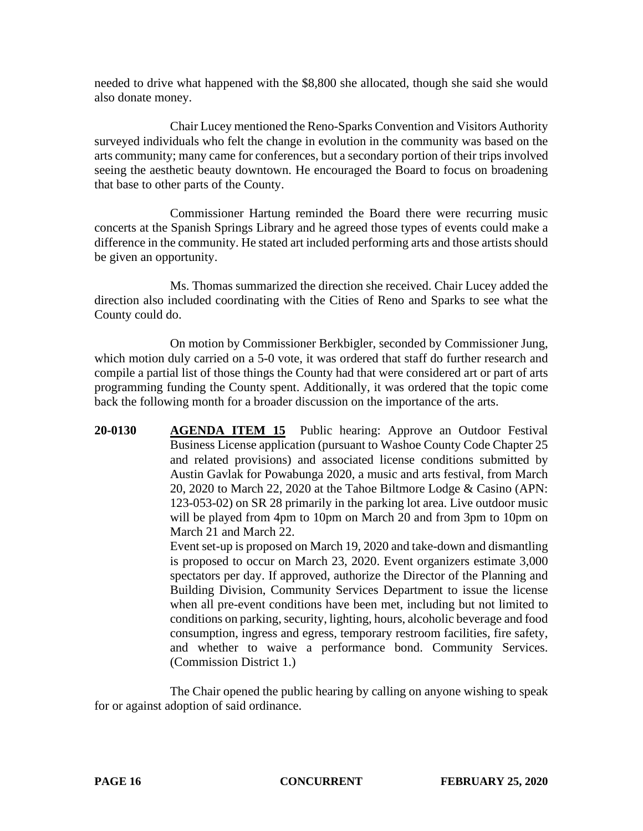needed to drive what happened with the \$8,800 she allocated, though she said she would also donate money.

Chair Lucey mentioned the Reno-Sparks Convention and Visitors Authority surveyed individuals who felt the change in evolution in the community was based on the arts community; many came for conferences, but a secondary portion of their trips involved seeing the aesthetic beauty downtown. He encouraged the Board to focus on broadening that base to other parts of the County.

Commissioner Hartung reminded the Board there were recurring music concerts at the Spanish Springs Library and he agreed those types of events could make a difference in the community. He stated art included performing arts and those artists should be given an opportunity.

Ms. Thomas summarized the direction she received. Chair Lucey added the direction also included coordinating with the Cities of Reno and Sparks to see what the County could do.

On motion by Commissioner Berkbigler, seconded by Commissioner Jung, which motion duly carried on a 5-0 vote, it was ordered that staff do further research and compile a partial list of those things the County had that were considered art or part of arts programming funding the County spent. Additionally, it was ordered that the topic come back the following month for a broader discussion on the importance of the arts.

**20-0130 AGENDA ITEM 15** Public hearing: Approve an Outdoor Festival Business License application (pursuant to Washoe County Code Chapter 25 and related provisions) and associated license conditions submitted by Austin Gavlak for Powabunga 2020, a music and arts festival, from March 20, 2020 to March 22, 2020 at the Tahoe Biltmore Lodge & Casino (APN: 123-053-02) on SR 28 primarily in the parking lot area. Live outdoor music will be played from 4pm to 10pm on March 20 and from 3pm to 10pm on March 21 and March 22.

Event set-up is proposed on March 19, 2020 and take-down and dismantling is proposed to occur on March 23, 2020. Event organizers estimate 3,000 spectators per day. If approved, authorize the Director of the Planning and Building Division, Community Services Department to issue the license when all pre-event conditions have been met, including but not limited to conditions on parking, security, lighting, hours, alcoholic beverage and food consumption, ingress and egress, temporary restroom facilities, fire safety, and whether to waive a performance bond. Community Services. (Commission District 1.)

The Chair opened the public hearing by calling on anyone wishing to speak for or against adoption of said ordinance.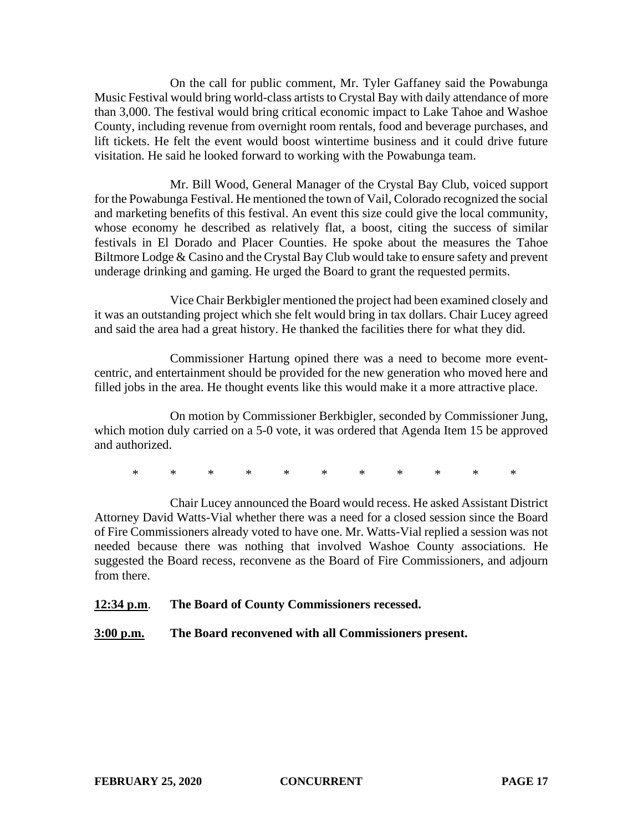On the call for public comment, Mr. Tyler Gaffaney said the Powabunga Music Festival would bring world-class artists to Crystal Bay with daily attendance of more than 3,000. The festival would bring critical economic impact to Lake Tahoe and Washoe County, including revenue from overnight room rentals, food and beverage purchases, and lift tickets. He felt the event would boost wintertime business and it could drive future visitation. He said he looked forward to working with the Powabunga team.

Mr. Bill Wood, General Manager of the Crystal Bay Club, voiced support for the Powabunga Festival. He mentioned the town of Vail, Colorado recognized the social and marketing benefits of this festival. An event this size could give the local community, whose economy he described as relatively flat, a boost, citing the success of similar festivals in El Dorado and Placer Counties. He spoke about the measures the Tahoe Biltmore Lodge & Casino and the Crystal Bay Club would take to ensure safety and prevent underage drinking and gaming. He urged the Board to grant the requested permits.

Vice Chair Berkbigler mentioned the project had been examined closely and it was an outstanding project which she felt would bring in tax dollars. Chair Lucey agreed and said the area had a great history. He thanked the facilities there for what they did.

Commissioner Hartung opined there was a need to become more eventcentric, and entertainment should be provided for the new generation who moved here and filled jobs in the area. He thought events like this would make it a more attractive place.

On motion by Commissioner Berkbigler, seconded by Commissioner Jung, which motion duly carried on a 5-0 vote, it was ordered that Agenda Item 15 be approved and authorized.

\* \* \* \* \* \* \* \* \* \* \*

Chair Lucey announced the Board would recess. He asked Assistant District Attorney David Watts-Vial whether there was a need for a closed session since the Board of Fire Commissioners already voted to have one. Mr. Watts-Vial replied a session was not needed because there was nothing that involved Washoe County associations. He suggested the Board recess, reconvene as the Board of Fire Commissioners, and adjourn from there.

**12:34 p.m**. **The Board of County Commissioners recessed.**

**3:00 p.m. The Board reconvened with all Commissioners present.**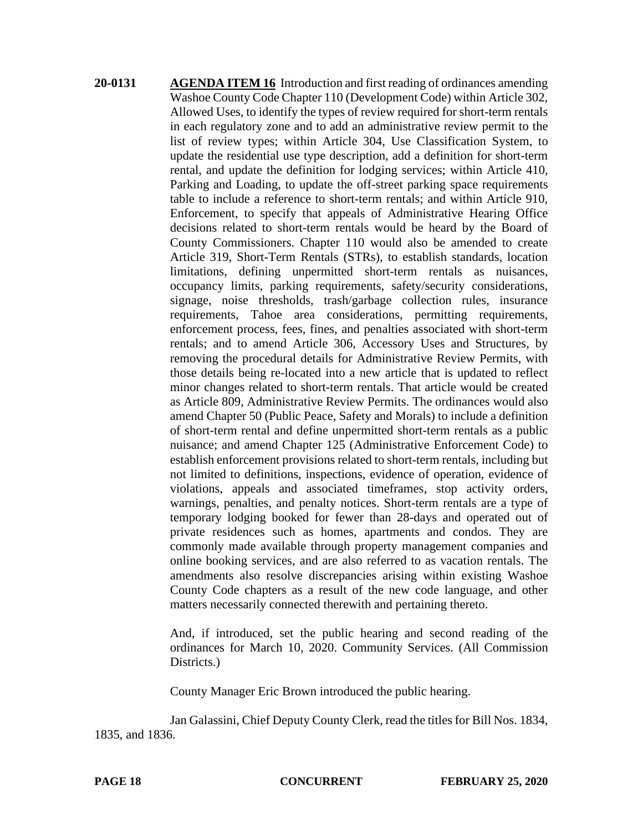**20-0131 AGENDA ITEM 16** Introduction and first reading of ordinances amending Washoe County Code Chapter 110 (Development Code) within Article 302, Allowed Uses, to identify the types of review required for short-term rentals in each regulatory zone and to add an administrative review permit to the list of review types; within Article 304, Use Classification System, to update the residential use type description, add a definition for short-term rental, and update the definition for lodging services; within Article 410, Parking and Loading, to update the off-street parking space requirements table to include a reference to short-term rentals; and within Article 910, Enforcement, to specify that appeals of Administrative Hearing Office decisions related to short-term rentals would be heard by the Board of County Commissioners. Chapter 110 would also be amended to create Article 319, Short-Term Rentals (STRs), to establish standards, location limitations, defining unpermitted short-term rentals as nuisances, occupancy limits, parking requirements, safety/security considerations, signage, noise thresholds, trash/garbage collection rules, insurance requirements, Tahoe area considerations, permitting requirements, enforcement process, fees, fines, and penalties associated with short-term rentals; and to amend Article 306, Accessory Uses and Structures, by removing the procedural details for Administrative Review Permits, with those details being re-located into a new article that is updated to reflect minor changes related to short-term rentals. That article would be created as Article 809, Administrative Review Permits. The ordinances would also amend Chapter 50 (Public Peace, Safety and Morals) to include a definition of short-term rental and define unpermitted short-term rentals as a public nuisance; and amend Chapter 125 (Administrative Enforcement Code) to establish enforcement provisions related to short-term rentals, including but not limited to definitions, inspections, evidence of operation, evidence of violations, appeals and associated timeframes, stop activity orders, warnings, penalties, and penalty notices. Short-term rentals are a type of temporary lodging booked for fewer than 28-days and operated out of private residences such as homes, apartments and condos. They are commonly made available through property management companies and online booking services, and are also referred to as vacation rentals. The amendments also resolve discrepancies arising within existing Washoe County Code chapters as a result of the new code language, and other matters necessarily connected therewith and pertaining thereto.

> And, if introduced, set the public hearing and second reading of the ordinances for March 10, 2020. Community Services. (All Commission Districts.

County Manager Eric Brown introduced the public hearing.

Jan Galassini, Chief Deputy County Clerk, read the titles for Bill Nos. 1834, 1835, and 1836.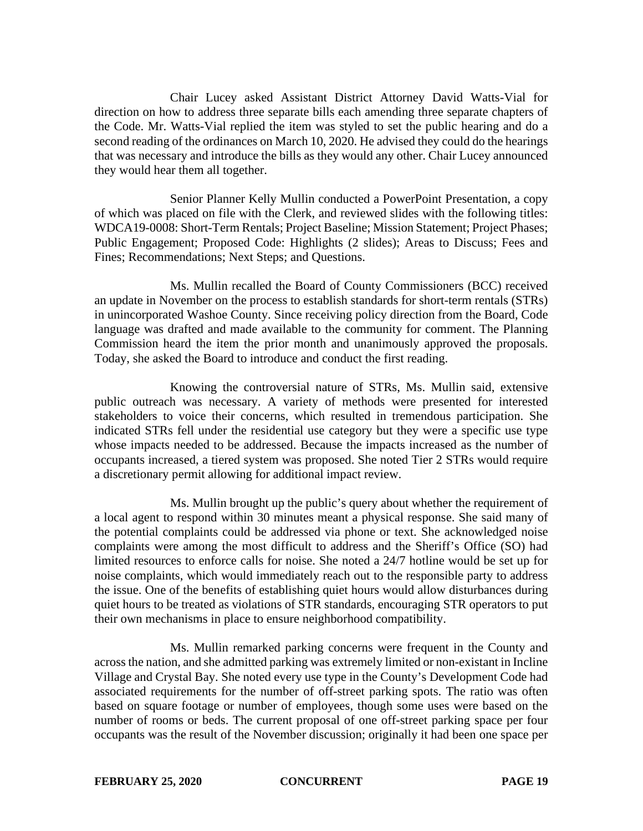Chair Lucey asked Assistant District Attorney David Watts-Vial for direction on how to address three separate bills each amending three separate chapters of the Code. Mr. Watts-Vial replied the item was styled to set the public hearing and do a second reading of the ordinances on March 10, 2020. He advised they could do the hearings that was necessary and introduce the bills as they would any other. Chair Lucey announced they would hear them all together.

Senior Planner Kelly Mullin conducted a PowerPoint Presentation, a copy of which was placed on file with the Clerk, and reviewed slides with the following titles: WDCA19-0008: Short-Term Rentals; Project Baseline; Mission Statement; Project Phases; Public Engagement; Proposed Code: Highlights (2 slides); Areas to Discuss; Fees and Fines; Recommendations; Next Steps; and Questions.

Ms. Mullin recalled the Board of County Commissioners (BCC) received an update in November on the process to establish standards for short-term rentals (STRs) in unincorporated Washoe County. Since receiving policy direction from the Board, Code language was drafted and made available to the community for comment. The Planning Commission heard the item the prior month and unanimously approved the proposals. Today, she asked the Board to introduce and conduct the first reading.

Knowing the controversial nature of STRs, Ms. Mullin said, extensive public outreach was necessary. A variety of methods were presented for interested stakeholders to voice their concerns, which resulted in tremendous participation. She indicated STRs fell under the residential use category but they were a specific use type whose impacts needed to be addressed. Because the impacts increased as the number of occupants increased, a tiered system was proposed. She noted Tier 2 STRs would require a discretionary permit allowing for additional impact review.

Ms. Mullin brought up the public's query about whether the requirement of a local agent to respond within 30 minutes meant a physical response. She said many of the potential complaints could be addressed via phone or text. She acknowledged noise complaints were among the most difficult to address and the Sheriff's Office (SO) had limited resources to enforce calls for noise. She noted a 24/7 hotline would be set up for noise complaints, which would immediately reach out to the responsible party to address the issue. One of the benefits of establishing quiet hours would allow disturbances during quiet hours to be treated as violations of STR standards, encouraging STR operators to put their own mechanisms in place to ensure neighborhood compatibility.

Ms. Mullin remarked parking concerns were frequent in the County and across the nation, and she admitted parking was extremely limited or non-existant in Incline Village and Crystal Bay. She noted every use type in the County's Development Code had associated requirements for the number of off-street parking spots. The ratio was often based on square footage or number of employees, though some uses were based on the number of rooms or beds. The current proposal of one off-street parking space per four occupants was the result of the November discussion; originally it had been one space per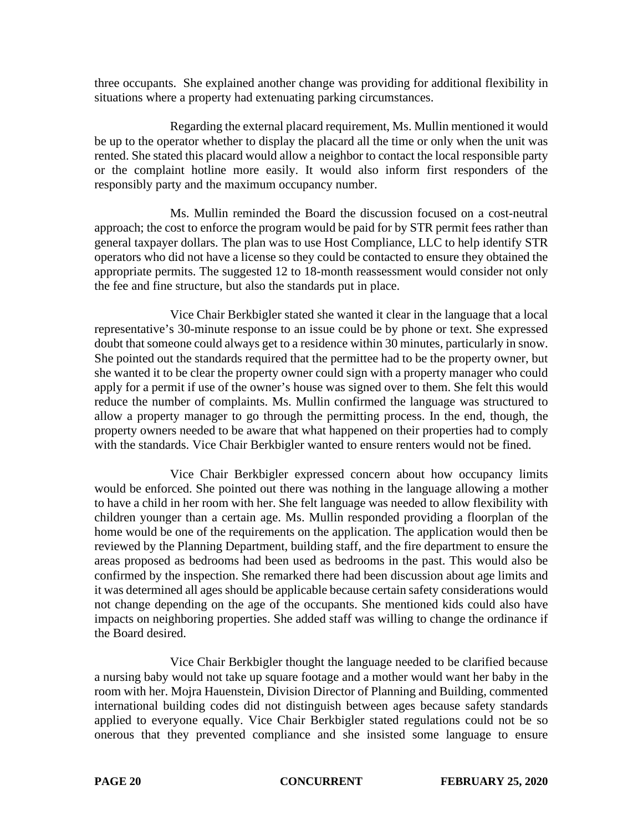three occupants. She explained another change was providing for additional flexibility in situations where a property had extenuating parking circumstances.

Regarding the external placard requirement, Ms. Mullin mentioned it would be up to the operator whether to display the placard all the time or only when the unit was rented. She stated this placard would allow a neighbor to contact the local responsible party or the complaint hotline more easily. It would also inform first responders of the responsibly party and the maximum occupancy number.

Ms. Mullin reminded the Board the discussion focused on a cost-neutral approach; the cost to enforce the program would be paid for by STR permit fees rather than general taxpayer dollars. The plan was to use Host Compliance, LLC to help identify STR operators who did not have a license so they could be contacted to ensure they obtained the appropriate permits. The suggested 12 to 18-month reassessment would consider not only the fee and fine structure, but also the standards put in place.

Vice Chair Berkbigler stated she wanted it clear in the language that a local representative's 30-minute response to an issue could be by phone or text. She expressed doubt that someone could always get to a residence within 30 minutes, particularly in snow. She pointed out the standards required that the permittee had to be the property owner, but she wanted it to be clear the property owner could sign with a property manager who could apply for a permit if use of the owner's house was signed over to them. She felt this would reduce the number of complaints. Ms. Mullin confirmed the language was structured to allow a property manager to go through the permitting process. In the end, though, the property owners needed to be aware that what happened on their properties had to comply with the standards. Vice Chair Berkbigler wanted to ensure renters would not be fined.

Vice Chair Berkbigler expressed concern about how occupancy limits would be enforced. She pointed out there was nothing in the language allowing a mother to have a child in her room with her. She felt language was needed to allow flexibility with children younger than a certain age. Ms. Mullin responded providing a floorplan of the home would be one of the requirements on the application. The application would then be reviewed by the Planning Department, building staff, and the fire department to ensure the areas proposed as bedrooms had been used as bedrooms in the past. This would also be confirmed by the inspection. She remarked there had been discussion about age limits and it was determined all ages should be applicable because certain safety considerations would not change depending on the age of the occupants. She mentioned kids could also have impacts on neighboring properties. She added staff was willing to change the ordinance if the Board desired.

Vice Chair Berkbigler thought the language needed to be clarified because a nursing baby would not take up square footage and a mother would want her baby in the room with her. Mojra Hauenstein, Division Director of Planning and Building, commented international building codes did not distinguish between ages because safety standards applied to everyone equally. Vice Chair Berkbigler stated regulations could not be so onerous that they prevented compliance and she insisted some language to ensure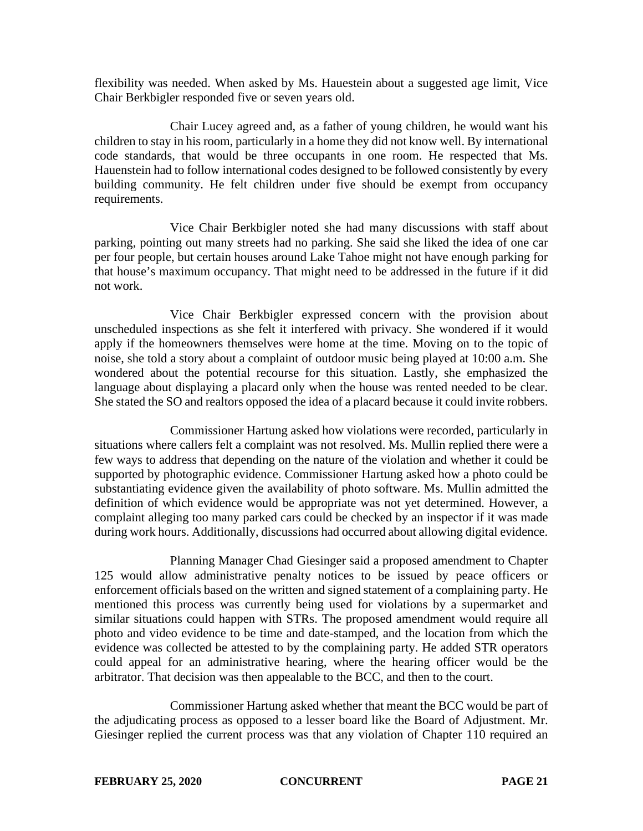flexibility was needed. When asked by Ms. Hauestein about a suggested age limit, Vice Chair Berkbigler responded five or seven years old.

Chair Lucey agreed and, as a father of young children, he would want his children to stay in his room, particularly in a home they did not know well. By international code standards, that would be three occupants in one room. He respected that Ms. Hauenstein had to follow international codes designed to be followed consistently by every building community. He felt children under five should be exempt from occupancy requirements.

Vice Chair Berkbigler noted she had many discussions with staff about parking, pointing out many streets had no parking. She said she liked the idea of one car per four people, but certain houses around Lake Tahoe might not have enough parking for that house's maximum occupancy. That might need to be addressed in the future if it did not work.

Vice Chair Berkbigler expressed concern with the provision about unscheduled inspections as she felt it interfered with privacy. She wondered if it would apply if the homeowners themselves were home at the time. Moving on to the topic of noise, she told a story about a complaint of outdoor music being played at 10:00 a.m. She wondered about the potential recourse for this situation. Lastly, she emphasized the language about displaying a placard only when the house was rented needed to be clear. She stated the SO and realtors opposed the idea of a placard because it could invite robbers.

Commissioner Hartung asked how violations were recorded, particularly in situations where callers felt a complaint was not resolved. Ms. Mullin replied there were a few ways to address that depending on the nature of the violation and whether it could be supported by photographic evidence. Commissioner Hartung asked how a photo could be substantiating evidence given the availability of photo software. Ms. Mullin admitted the definition of which evidence would be appropriate was not yet determined. However, a complaint alleging too many parked cars could be checked by an inspector if it was made during work hours. Additionally, discussions had occurred about allowing digital evidence.

Planning Manager Chad Giesinger said a proposed amendment to Chapter 125 would allow administrative penalty notices to be issued by peace officers or enforcement officials based on the written and signed statement of a complaining party. He mentioned this process was currently being used for violations by a supermarket and similar situations could happen with STRs. The proposed amendment would require all photo and video evidence to be time and date-stamped, and the location from which the evidence was collected be attested to by the complaining party. He added STR operators could appeal for an administrative hearing, where the hearing officer would be the arbitrator. That decision was then appealable to the BCC, and then to the court.

Commissioner Hartung asked whether that meant the BCC would be part of the adjudicating process as opposed to a lesser board like the Board of Adjustment. Mr. Giesinger replied the current process was that any violation of Chapter 110 required an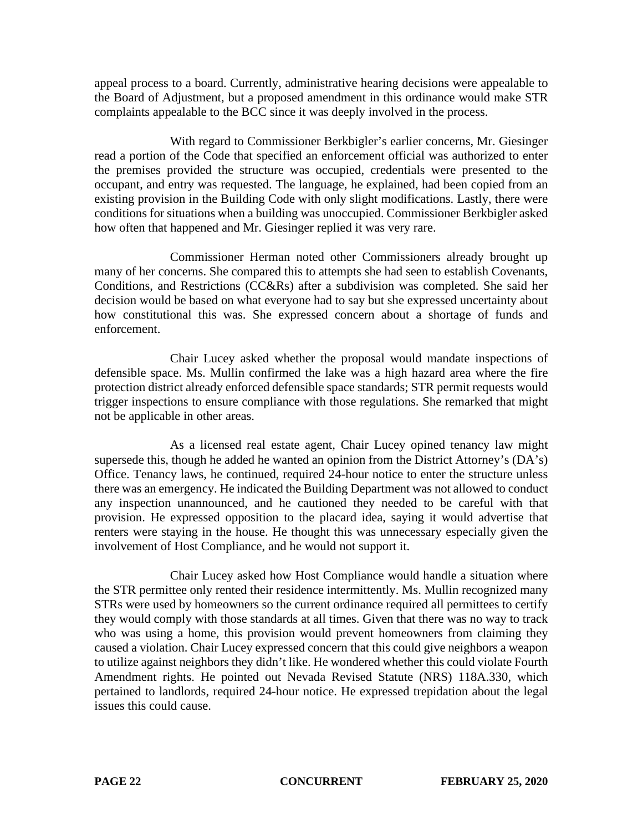appeal process to a board. Currently, administrative hearing decisions were appealable to the Board of Adjustment, but a proposed amendment in this ordinance would make STR complaints appealable to the BCC since it was deeply involved in the process.

With regard to Commissioner Berkbigler's earlier concerns, Mr. Giesinger read a portion of the Code that specified an enforcement official was authorized to enter the premises provided the structure was occupied, credentials were presented to the occupant, and entry was requested. The language, he explained, had been copied from an existing provision in the Building Code with only slight modifications. Lastly, there were conditions for situations when a building was unoccupied. Commissioner Berkbigler asked how often that happened and Mr. Giesinger replied it was very rare.

Commissioner Herman noted other Commissioners already brought up many of her concerns. She compared this to attempts she had seen to establish Covenants, Conditions, and Restrictions (CC&Rs) after a subdivision was completed. She said her decision would be based on what everyone had to say but she expressed uncertainty about how constitutional this was. She expressed concern about a shortage of funds and enforcement.

Chair Lucey asked whether the proposal would mandate inspections of defensible space. Ms. Mullin confirmed the lake was a high hazard area where the fire protection district already enforced defensible space standards; STR permit requests would trigger inspections to ensure compliance with those regulations. She remarked that might not be applicable in other areas.

As a licensed real estate agent, Chair Lucey opined tenancy law might supersede this, though he added he wanted an opinion from the District Attorney's (DA's) Office. Tenancy laws, he continued, required 24-hour notice to enter the structure unless there was an emergency. He indicated the Building Department was not allowed to conduct any inspection unannounced, and he cautioned they needed to be careful with that provision. He expressed opposition to the placard idea, saying it would advertise that renters were staying in the house. He thought this was unnecessary especially given the involvement of Host Compliance, and he would not support it.

Chair Lucey asked how Host Compliance would handle a situation where the STR permittee only rented their residence intermittently. Ms. Mullin recognized many STRs were used by homeowners so the current ordinance required all permittees to certify they would comply with those standards at all times. Given that there was no way to track who was using a home, this provision would prevent homeowners from claiming they caused a violation. Chair Lucey expressed concern that this could give neighbors a weapon to utilize against neighbors they didn't like. He wondered whether this could violate Fourth Amendment rights. He pointed out Nevada Revised Statute (NRS) 118A.330, which pertained to landlords, required 24-hour notice. He expressed trepidation about the legal issues this could cause.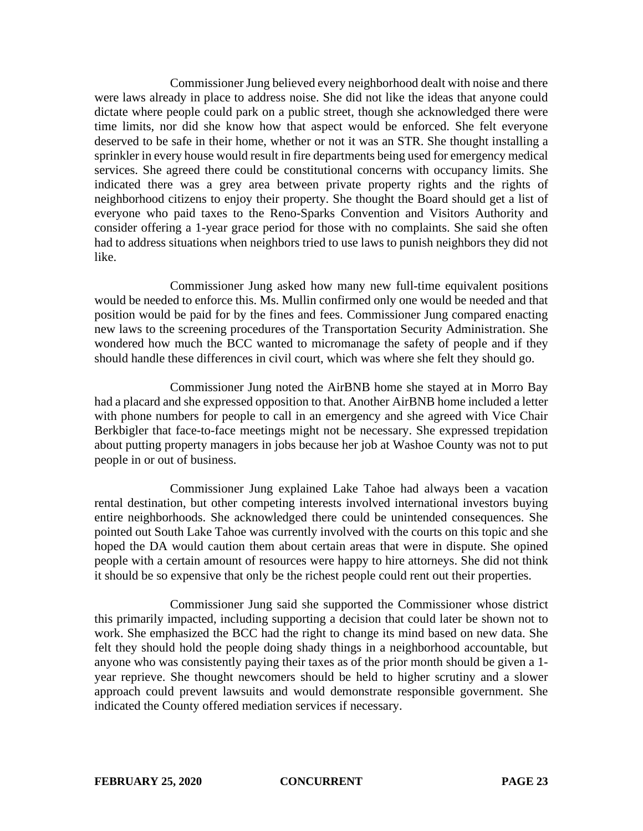Commissioner Jung believed every neighborhood dealt with noise and there were laws already in place to address noise. She did not like the ideas that anyone could dictate where people could park on a public street, though she acknowledged there were time limits, nor did she know how that aspect would be enforced. She felt everyone deserved to be safe in their home, whether or not it was an STR. She thought installing a sprinkler in every house would result in fire departments being used for emergency medical services. She agreed there could be constitutional concerns with occupancy limits. She indicated there was a grey area between private property rights and the rights of neighborhood citizens to enjoy their property. She thought the Board should get a list of everyone who paid taxes to the Reno-Sparks Convention and Visitors Authority and consider offering a 1-year grace period for those with no complaints. She said she often had to address situations when neighbors tried to use laws to punish neighbors they did not like.

Commissioner Jung asked how many new full-time equivalent positions would be needed to enforce this. Ms. Mullin confirmed only one would be needed and that position would be paid for by the fines and fees. Commissioner Jung compared enacting new laws to the screening procedures of the Transportation Security Administration. She wondered how much the BCC wanted to micromanage the safety of people and if they should handle these differences in civil court, which was where she felt they should go.

Commissioner Jung noted the AirBNB home she stayed at in Morro Bay had a placard and she expressed opposition to that. Another AirBNB home included a letter with phone numbers for people to call in an emergency and she agreed with Vice Chair Berkbigler that face-to-face meetings might not be necessary. She expressed trepidation about putting property managers in jobs because her job at Washoe County was not to put people in or out of business.

Commissioner Jung explained Lake Tahoe had always been a vacation rental destination, but other competing interests involved international investors buying entire neighborhoods. She acknowledged there could be unintended consequences. She pointed out South Lake Tahoe was currently involved with the courts on this topic and she hoped the DA would caution them about certain areas that were in dispute. She opined people with a certain amount of resources were happy to hire attorneys. She did not think it should be so expensive that only be the richest people could rent out their properties.

Commissioner Jung said she supported the Commissioner whose district this primarily impacted, including supporting a decision that could later be shown not to work. She emphasized the BCC had the right to change its mind based on new data. She felt they should hold the people doing shady things in a neighborhood accountable, but anyone who was consistently paying their taxes as of the prior month should be given a 1 year reprieve. She thought newcomers should be held to higher scrutiny and a slower approach could prevent lawsuits and would demonstrate responsible government. She indicated the County offered mediation services if necessary.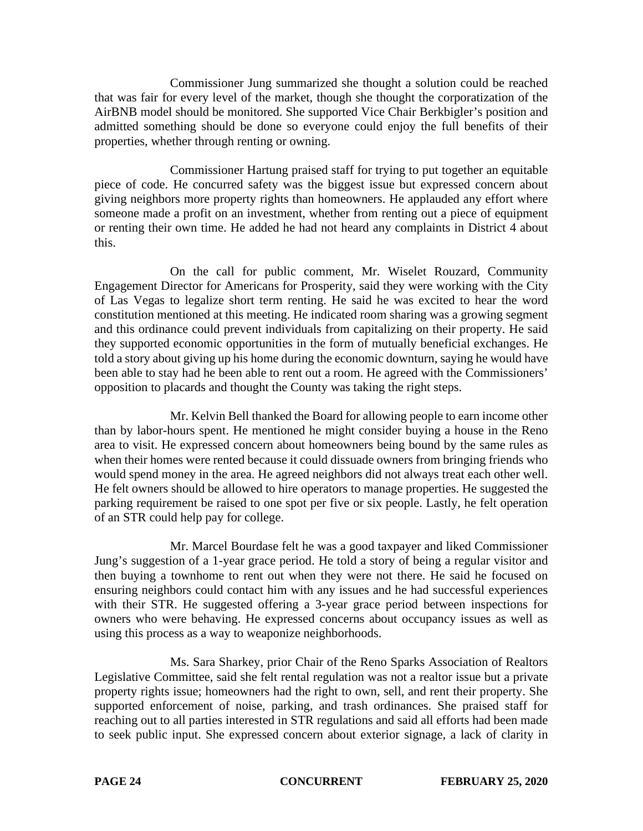Commissioner Jung summarized she thought a solution could be reached that was fair for every level of the market, though she thought the corporatization of the AirBNB model should be monitored. She supported Vice Chair Berkbigler's position and admitted something should be done so everyone could enjoy the full benefits of their properties, whether through renting or owning.

Commissioner Hartung praised staff for trying to put together an equitable piece of code. He concurred safety was the biggest issue but expressed concern about giving neighbors more property rights than homeowners. He applauded any effort where someone made a profit on an investment, whether from renting out a piece of equipment or renting their own time. He added he had not heard any complaints in District 4 about this.

On the call for public comment, Mr. Wiselet Rouzard, Community Engagement Director for Americans for Prosperity, said they were working with the City of Las Vegas to legalize short term renting. He said he was excited to hear the word constitution mentioned at this meeting. He indicated room sharing was a growing segment and this ordinance could prevent individuals from capitalizing on their property. He said they supported economic opportunities in the form of mutually beneficial exchanges. He told a story about giving up his home during the economic downturn, saying he would have been able to stay had he been able to rent out a room. He agreed with the Commissioners' opposition to placards and thought the County was taking the right steps.

Mr. Kelvin Bell thanked the Board for allowing people to earn income other than by labor-hours spent. He mentioned he might consider buying a house in the Reno area to visit. He expressed concern about homeowners being bound by the same rules as when their homes were rented because it could dissuade owners from bringing friends who would spend money in the area. He agreed neighbors did not always treat each other well. He felt owners should be allowed to hire operators to manage properties. He suggested the parking requirement be raised to one spot per five or six people. Lastly, he felt operation of an STR could help pay for college.

Mr. Marcel Bourdase felt he was a good taxpayer and liked Commissioner Jung's suggestion of a 1-year grace period. He told a story of being a regular visitor and then buying a townhome to rent out when they were not there. He said he focused on ensuring neighbors could contact him with any issues and he had successful experiences with their STR. He suggested offering a 3-year grace period between inspections for owners who were behaving. He expressed concerns about occupancy issues as well as using this process as a way to weaponize neighborhoods.

Ms. Sara Sharkey, prior Chair of the Reno Sparks Association of Realtors Legislative Committee, said she felt rental regulation was not a realtor issue but a private property rights issue; homeowners had the right to own, sell, and rent their property. She supported enforcement of noise, parking, and trash ordinances. She praised staff for reaching out to all parties interested in STR regulations and said all efforts had been made to seek public input. She expressed concern about exterior signage, a lack of clarity in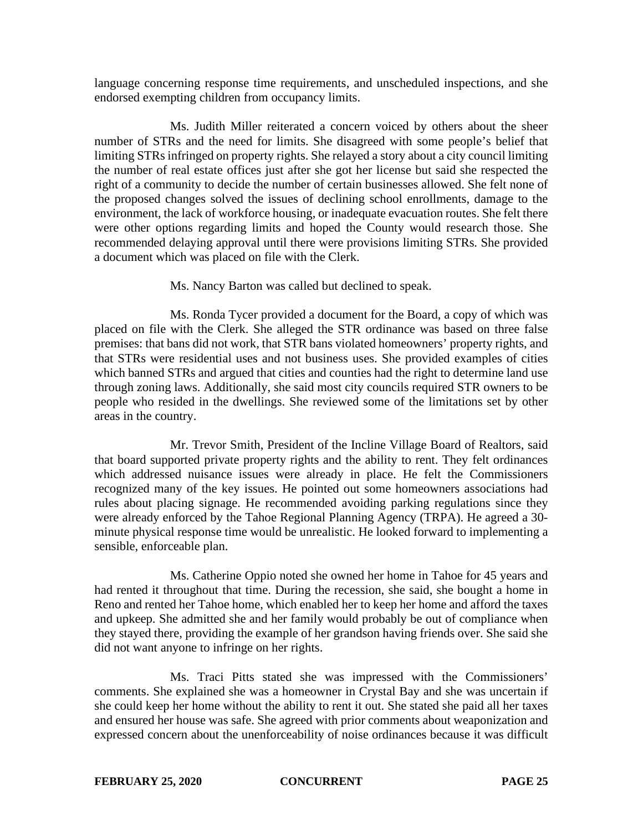language concerning response time requirements, and unscheduled inspections, and she endorsed exempting children from occupancy limits.

Ms. Judith Miller reiterated a concern voiced by others about the sheer number of STRs and the need for limits. She disagreed with some people's belief that limiting STRs infringed on property rights. She relayed a story about a city council limiting the number of real estate offices just after she got her license but said she respected the right of a community to decide the number of certain businesses allowed. She felt none of the proposed changes solved the issues of declining school enrollments, damage to the environment, the lack of workforce housing, or inadequate evacuation routes. She felt there were other options regarding limits and hoped the County would research those. She recommended delaying approval until there were provisions limiting STRs. She provided a document which was placed on file with the Clerk.

Ms. Nancy Barton was called but declined to speak.

Ms. Ronda Tycer provided a document for the Board, a copy of which was placed on file with the Clerk. She alleged the STR ordinance was based on three false premises: that bans did not work, that STR bans violated homeowners' property rights, and that STRs were residential uses and not business uses. She provided examples of cities which banned STRs and argued that cities and counties had the right to determine land use through zoning laws. Additionally, she said most city councils required STR owners to be people who resided in the dwellings. She reviewed some of the limitations set by other areas in the country.

Mr. Trevor Smith, President of the Incline Village Board of Realtors, said that board supported private property rights and the ability to rent. They felt ordinances which addressed nuisance issues were already in place. He felt the Commissioners recognized many of the key issues. He pointed out some homeowners associations had rules about placing signage. He recommended avoiding parking regulations since they were already enforced by the Tahoe Regional Planning Agency (TRPA). He agreed a 30 minute physical response time would be unrealistic. He looked forward to implementing a sensible, enforceable plan.

Ms. Catherine Oppio noted she owned her home in Tahoe for 45 years and had rented it throughout that time. During the recession, she said, she bought a home in Reno and rented her Tahoe home, which enabled her to keep her home and afford the taxes and upkeep. She admitted she and her family would probably be out of compliance when they stayed there, providing the example of her grandson having friends over. She said she did not want anyone to infringe on her rights.

Ms. Traci Pitts stated she was impressed with the Commissioners' comments. She explained she was a homeowner in Crystal Bay and she was uncertain if she could keep her home without the ability to rent it out. She stated she paid all her taxes and ensured her house was safe. She agreed with prior comments about weaponization and expressed concern about the unenforceability of noise ordinances because it was difficult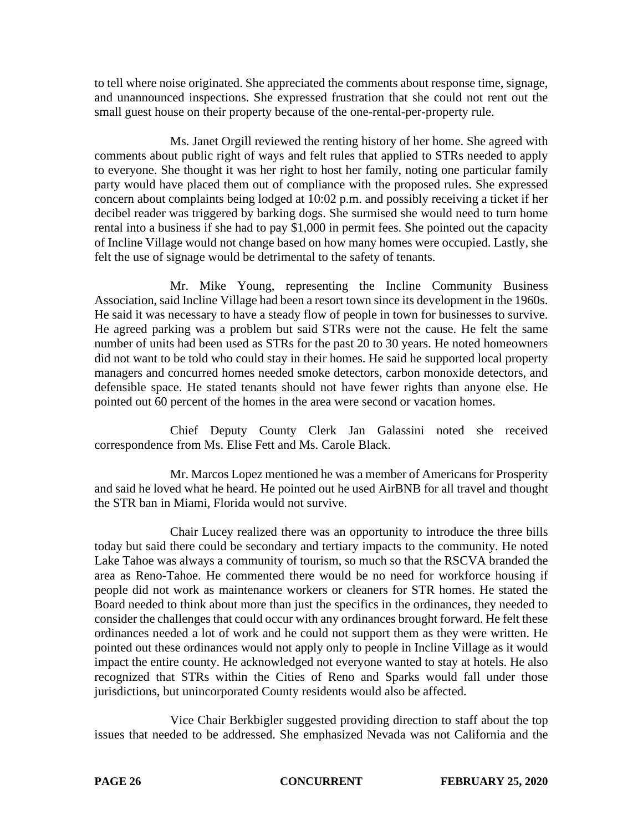to tell where noise originated. She appreciated the comments about response time, signage, and unannounced inspections. She expressed frustration that she could not rent out the small guest house on their property because of the one-rental-per-property rule.

Ms. Janet Orgill reviewed the renting history of her home. She agreed with comments about public right of ways and felt rules that applied to STRs needed to apply to everyone. She thought it was her right to host her family, noting one particular family party would have placed them out of compliance with the proposed rules. She expressed concern about complaints being lodged at 10:02 p.m. and possibly receiving a ticket if her decibel reader was triggered by barking dogs. She surmised she would need to turn home rental into a business if she had to pay \$1,000 in permit fees. She pointed out the capacity of Incline Village would not change based on how many homes were occupied. Lastly, she felt the use of signage would be detrimental to the safety of tenants.

Mr. Mike Young, representing the Incline Community Business Association, said Incline Village had been a resort town since its development in the 1960s. He said it was necessary to have a steady flow of people in town for businesses to survive. He agreed parking was a problem but said STRs were not the cause. He felt the same number of units had been used as STRs for the past 20 to 30 years. He noted homeowners did not want to be told who could stay in their homes. He said he supported local property managers and concurred homes needed smoke detectors, carbon monoxide detectors, and defensible space. He stated tenants should not have fewer rights than anyone else. He pointed out 60 percent of the homes in the area were second or vacation homes.

Chief Deputy County Clerk Jan Galassini noted she received correspondence from Ms. Elise Fett and Ms. Carole Black.

Mr. Marcos Lopez mentioned he was a member of Americans for Prosperity and said he loved what he heard. He pointed out he used AirBNB for all travel and thought the STR ban in Miami, Florida would not survive.

Chair Lucey realized there was an opportunity to introduce the three bills today but said there could be secondary and tertiary impacts to the community. He noted Lake Tahoe was always a community of tourism, so much so that the RSCVA branded the area as Reno-Tahoe. He commented there would be no need for workforce housing if people did not work as maintenance workers or cleaners for STR homes. He stated the Board needed to think about more than just the specifics in the ordinances, they needed to consider the challenges that could occur with any ordinances brought forward. He felt these ordinances needed a lot of work and he could not support them as they were written. He pointed out these ordinances would not apply only to people in Incline Village as it would impact the entire county. He acknowledged not everyone wanted to stay at hotels. He also recognized that STRs within the Cities of Reno and Sparks would fall under those jurisdictions, but unincorporated County residents would also be affected.

Vice Chair Berkbigler suggested providing direction to staff about the top issues that needed to be addressed. She emphasized Nevada was not California and the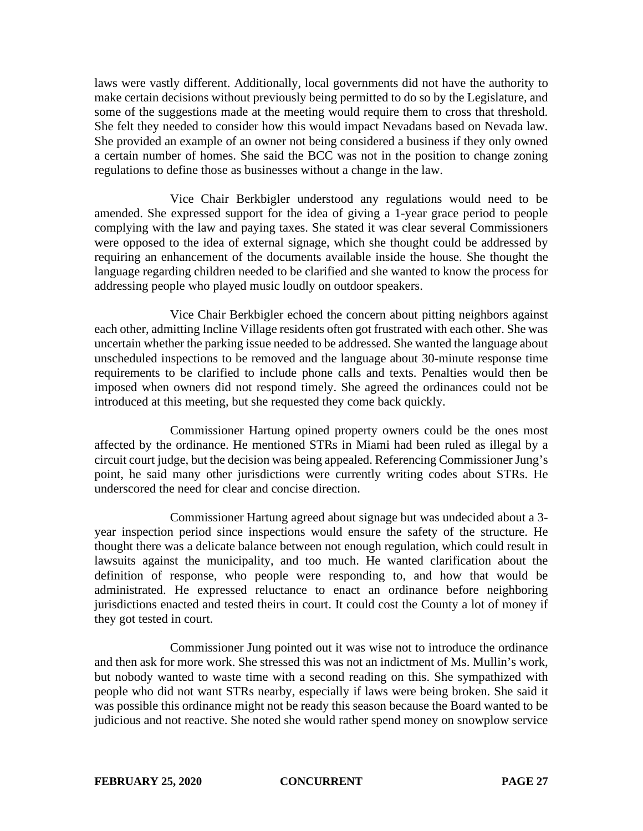laws were vastly different. Additionally, local governments did not have the authority to make certain decisions without previously being permitted to do so by the Legislature, and some of the suggestions made at the meeting would require them to cross that threshold. She felt they needed to consider how this would impact Nevadans based on Nevada law. She provided an example of an owner not being considered a business if they only owned a certain number of homes. She said the BCC was not in the position to change zoning regulations to define those as businesses without a change in the law.

Vice Chair Berkbigler understood any regulations would need to be amended. She expressed support for the idea of giving a 1-year grace period to people complying with the law and paying taxes. She stated it was clear several Commissioners were opposed to the idea of external signage, which she thought could be addressed by requiring an enhancement of the documents available inside the house. She thought the language regarding children needed to be clarified and she wanted to know the process for addressing people who played music loudly on outdoor speakers.

Vice Chair Berkbigler echoed the concern about pitting neighbors against each other, admitting Incline Village residents often got frustrated with each other. She was uncertain whether the parking issue needed to be addressed. She wanted the language about unscheduled inspections to be removed and the language about 30-minute response time requirements to be clarified to include phone calls and texts. Penalties would then be imposed when owners did not respond timely. She agreed the ordinances could not be introduced at this meeting, but she requested they come back quickly.

Commissioner Hartung opined property owners could be the ones most affected by the ordinance. He mentioned STRs in Miami had been ruled as illegal by a circuit court judge, but the decision was being appealed. Referencing Commissioner Jung's point, he said many other jurisdictions were currently writing codes about STRs. He underscored the need for clear and concise direction.

Commissioner Hartung agreed about signage but was undecided about a 3 year inspection period since inspections would ensure the safety of the structure. He thought there was a delicate balance between not enough regulation, which could result in lawsuits against the municipality, and too much. He wanted clarification about the definition of response, who people were responding to, and how that would be administrated. He expressed reluctance to enact an ordinance before neighboring jurisdictions enacted and tested theirs in court. It could cost the County a lot of money if they got tested in court.

Commissioner Jung pointed out it was wise not to introduce the ordinance and then ask for more work. She stressed this was not an indictment of Ms. Mullin's work, but nobody wanted to waste time with a second reading on this. She sympathized with people who did not want STRs nearby, especially if laws were being broken. She said it was possible this ordinance might not be ready this season because the Board wanted to be judicious and not reactive. She noted she would rather spend money on snowplow service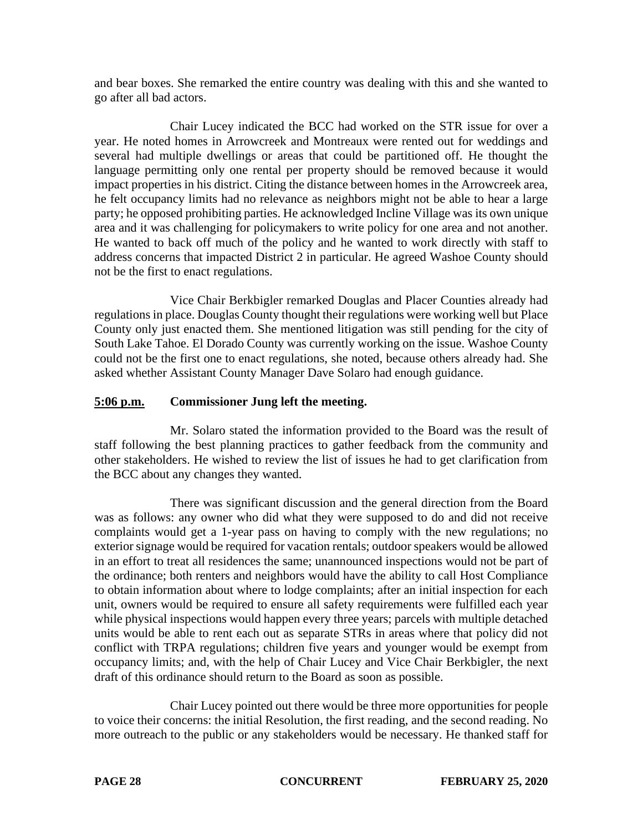and bear boxes. She remarked the entire country was dealing with this and she wanted to go after all bad actors.

Chair Lucey indicated the BCC had worked on the STR issue for over a year. He noted homes in Arrowcreek and Montreaux were rented out for weddings and several had multiple dwellings or areas that could be partitioned off. He thought the language permitting only one rental per property should be removed because it would impact properties in his district. Citing the distance between homes in the Arrowcreek area, he felt occupancy limits had no relevance as neighbors might not be able to hear a large party; he opposed prohibiting parties. He acknowledged Incline Village was its own unique area and it was challenging for policymakers to write policy for one area and not another. He wanted to back off much of the policy and he wanted to work directly with staff to address concerns that impacted District 2 in particular. He agreed Washoe County should not be the first to enact regulations.

Vice Chair Berkbigler remarked Douglas and Placer Counties already had regulations in place. Douglas County thought their regulations were working well but Place County only just enacted them. She mentioned litigation was still pending for the city of South Lake Tahoe. El Dorado County was currently working on the issue. Washoe County could not be the first one to enact regulations, she noted, because others already had. She asked whether Assistant County Manager Dave Solaro had enough guidance.

# **5:06 p.m. Commissioner Jung left the meeting.**

Mr. Solaro stated the information provided to the Board was the result of staff following the best planning practices to gather feedback from the community and other stakeholders. He wished to review the list of issues he had to get clarification from the BCC about any changes they wanted.

There was significant discussion and the general direction from the Board was as follows: any owner who did what they were supposed to do and did not receive complaints would get a 1-year pass on having to comply with the new regulations; no exterior signage would be required for vacation rentals; outdoor speakers would be allowed in an effort to treat all residences the same; unannounced inspections would not be part of the ordinance; both renters and neighbors would have the ability to call Host Compliance to obtain information about where to lodge complaints; after an initial inspection for each unit, owners would be required to ensure all safety requirements were fulfilled each year while physical inspections would happen every three years; parcels with multiple detached units would be able to rent each out as separate STRs in areas where that policy did not conflict with TRPA regulations; children five years and younger would be exempt from occupancy limits; and, with the help of Chair Lucey and Vice Chair Berkbigler, the next draft of this ordinance should return to the Board as soon as possible.

Chair Lucey pointed out there would be three more opportunities for people to voice their concerns: the initial Resolution, the first reading, and the second reading. No more outreach to the public or any stakeholders would be necessary. He thanked staff for